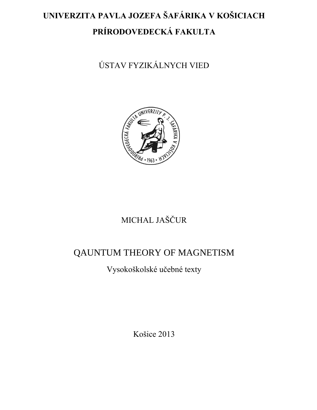# **UNIVERZITA PAVLA JOZEFA ŠAFÁRIKA V KOŠICIACH PRÍRODOVEDECKÁ FAKULTA**

ÚSTAV FYZIKÁLNYCH VIED



# MICHAL JAŠČUR

## QAUNTUM THEORY OF MAGNETISM

Vysokoškolské učebné texty

Košice 2013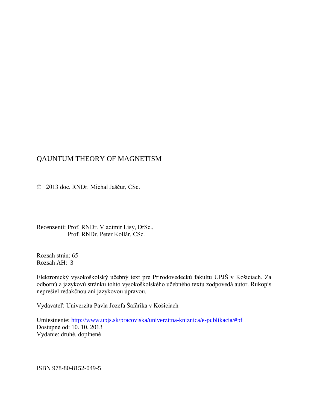### QAUNTUM THEORY OF MAGNETISM

© 2013 doc. RNDr. Michal Jaščur, CSc.

Recenzenti: Prof. RNDr. Vladimír Lisý, DrSc., Prof. RNDr. Peter Kollár, CSc.

Rozsah strán: 65 Rozsah AH: 3

Elektronický vysokoškolský učebný text pre Prírodovedeckú fakultu UPJŠ v Košiciach. Za odbornú a jazykovú stránku tohto vysokoškolského učebného textu zodpovedá autor. Rukopis neprešiel redakčnou ani jazykovou úpravou.

Vydavateľ: Univerzita Pavla Jozefa Šafárika v Košiciach

Umiestnenie: http://www.upjs.sk/pracoviska/univerzitna-kniznica/e-publikacia/#pf Dostupné od: 10. 10. 2013 Vydanie: druhé, doplnené

ISBN 978-80-8152-049-5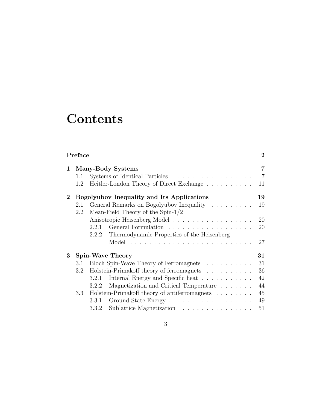# **Contents**

| Preface        |                   |                                                                                                                                                                                                                                                                                                                |                                              |  |  |
|----------------|-------------------|----------------------------------------------------------------------------------------------------------------------------------------------------------------------------------------------------------------------------------------------------------------------------------------------------------------|----------------------------------------------|--|--|
| 1              | 1.1<br>1.2        | Many-Body Systems<br>Systems of Identical Particles<br>Heitler-London Theory of Direct Exchange                                                                                                                                                                                                                | 7<br>$\overline{7}$<br>11                    |  |  |
| $\overline{2}$ | 2.1<br>2.2        | Bogolyubov Inequality and Its Applications<br>General Remarks on Bogolyubov Inequality<br>Mean-Field Theory of the Spin- $1/2$<br>Anisotropic Heisenberg Model<br>2.2.1<br>Thermodynamic Properties of the Heisenberg<br>2.2.2                                                                                 | 19<br>19<br>20<br>20<br>27                   |  |  |
| $\bf{3}$       | 3.1<br>3.2<br>3.3 | <b>Spin-Wave Theory</b><br>Bloch Spin-Wave Theory of Ferromagnets<br>Holstein-Primakoff theory of ferromagnets<br>Internal Energy and Specific heat<br>3.2.1<br>Magnetization and Critical Temperature<br>3.2.2<br>Holstein-Primakoff theory of antiferromagnets<br>3.3.1<br>Sublattice Magnetization<br>3.3.2 | 31<br>31<br>36<br>42<br>44<br>45<br>49<br>51 |  |  |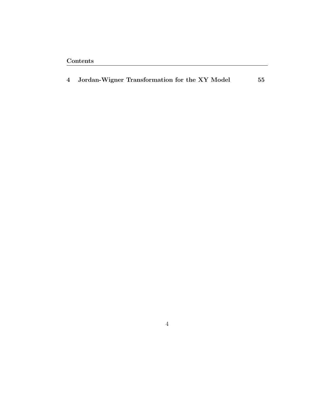|  | 4 Jordan-Wigner Transformation for the XY Model |  |  |  | 55 |
|--|-------------------------------------------------|--|--|--|----|
|--|-------------------------------------------------|--|--|--|----|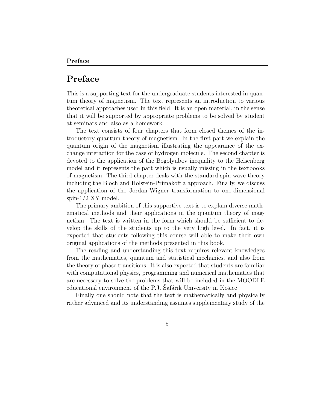## **Preface**

This is a supporting text for the undergraduate students interested in quantum theory of magnetism. The text represents an introduction to various theoretical approaches used in this field. It is an open material, in the sense that it will be supported by appropriate problems to be solved by student at seminars and also as a homework.

The text consists of four chapters that form closed themes of the introductory quantum theory of magnetism. In the first part we explain the quantum origin of the magnetism illustrating the appearance of the exchange interaction for the case of hydrogen molecule. The second chapter is devoted to the application of the Bogolyubov inequality to the Heisenberg model and it represents the part which is usually missing in the textbooks of magnetism. The third chapter deals with the standard spin wave-theory including the Bloch and Holstein-Primakoff a approach. Finally, we discuss the application of the Jordan-Wigner transformation to one-dimensional spin- $1/2$  XY model.

The primary ambition of this supportive text is to explain diverse mathematical methods and their applications in the quantum theory of magnetism. The text is written in the form which should be sufficient to develop the skills of the students up to the very high level. In fact, it is expected that students following this course will able to make their own original applications of the methods presented in this book.

The reading and understanding this text requires relevant knowledges from the mathematics, quantum and statistical mechanics, and also from the theory of phase transitions. It is also expected that students are familiar with computational physics, programming and numerical mathematics that are necessary to solve the problems that will be included in the MOODLE educational environment of the P.J. Safárik University in Košice.

Finally one should note that the text is mathematically and physically rather advanced and its understanding assumes supplementary study of the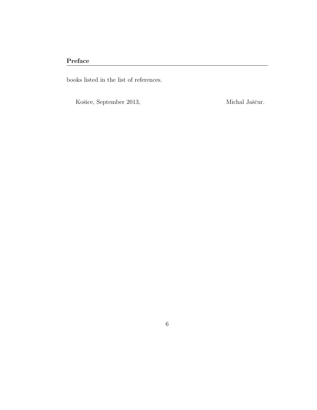### **Preface**

books listed in the list of references.

Košice, September 2013,  $\hfill$  Michal Jaščur.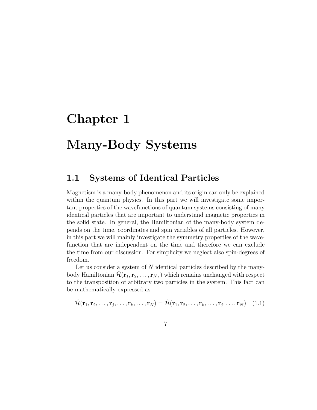# **Chapter 1**

# **Many-Body Systems**

## **1.1 Systems of Identical Particles**

Magnetism is a many-body phenomenon and its origin can only be explained within the quantum physics. In this part we will investigate some important properties of the wavefunctions of quantum systems consisting of many identical particles that are important to understand magnetic properties in the solid state. In general, the Hamiltonian of the many-body system depends on the time, coordinates and spin variables of all particles. However, in this part we will mainly investigate the symmetry properties of the wavefunction that are independent on the time and therefore we can exclude the time from our discussion. For simplicity we neglect also spin-degrees of freedom.

Let us consider a system of N identical particles described by the manybody Hamiltonian  $\mathcal{H}(\mathbf{r}_1, \mathbf{r}_2, \dots, \mathbf{r}_N)$ , which remains unchanged with respect to the transposition of arbitrary two particles in the system. This fact can be mathematically expressed as

$$
\hat{\mathcal{H}}(\mathbf{r}_1, \mathbf{r}_2, \dots, \mathbf{r}_j, \dots, \mathbf{r}_k, \dots, \mathbf{r}_N) = \hat{\mathcal{H}}(\mathbf{r}_1, \mathbf{r}_2, \dots, \mathbf{r}_k, \dots, \mathbf{r}_j, \dots, \mathbf{r}_N) \quad (1.1)
$$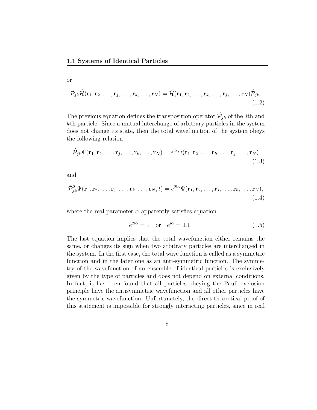$$
\hat{\mathcal{P}}_{jk}\hat{\mathcal{H}}(\mathbf{r}_1,\mathbf{r}_2,\ldots,\mathbf{r}_j,\ldots,\mathbf{r}_k,\ldots,\mathbf{r}_N)=\hat{\mathcal{H}}(\mathbf{r}_1,\mathbf{r}_2,\ldots,\mathbf{r}_k,\ldots,\mathbf{r}_j,\ldots,\mathbf{r}_N)\hat{\mathcal{P}}_{jk}.
$$
\n(1.2)

The previous equation defines the transposition operator  $\hat{\mathcal{P}}_{jk}$  of the *j*th and *k*th particle. Since a mutual interchange of arbitrary particles in the system does not change its state, then the total wavefunction of the system obeys the following relation

$$
\hat{\mathcal{P}}_{jk}\Psi(\mathbf{r}_1,\mathbf{r}_2,\ldots,\mathbf{r}_j,\ldots,\mathbf{r}_k,\ldots,\mathbf{r}_N)=e^{i\alpha}\Psi(\mathbf{r}_1,\mathbf{r}_2,\ldots,\mathbf{r}_k,\ldots,\mathbf{r}_j,\ldots,\mathbf{r}_N)
$$
\n(1.3)

and

or

$$
\hat{\mathcal{P}}_{jk}^2 \Psi(\mathbf{r}_1, \mathbf{r}_2, \dots, \mathbf{r}_j, \dots, \mathbf{r}_k, \dots, \mathbf{r}_N, t) = e^{2i\alpha} \Psi(\mathbf{r}_1, \mathbf{r}_2, \dots, \mathbf{r}_j, \dots, \mathbf{r}_k, \dots, \mathbf{r}_N),
$$
\n(1.4)

where the real parameter  $\alpha$  apparently satisfies equation

$$
e^{2i\alpha} = 1 \quad \text{or} \quad e^{i\alpha} = \pm 1. \tag{1.5}
$$

The last equation implies that the total wavefunction either remains the same, or changes its sign when two arbitrary particles are interchanged in the system. In the first case, the total wave function is called as a symmetric function and in the later one as an anti-symmetric function. The symmetry of the wavefunction of an ensemble of identical particles is exclusively given by the type of particles and does not depend on external conditions. In fact, it has been found that all particles obeying the Pauli exclusion principle have the antisymmetric wavefunction and all other particles have the symmetric wavefunction. Unfortunately, the direct theoretical proof of this statement is impossible for strongly interacting particles, since in real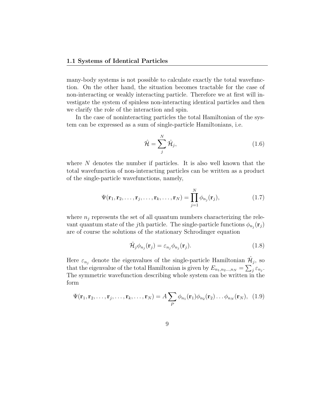many-body systems is not possible to calculate exactly the total wavefunction. On the other hand, the situation becomes tractable for the case of non-interacting or weakly interacting particle. Therefore we at first will investigate the system of spinless non-interacting identical particles and then we clarify the role of the interaction and spin.

In the case of noninteracting particles the total Hamiltonian of the system can be expressed as a sum of single-particle Hamiltonians, i.e.

$$
\hat{\mathcal{H}} = \sum_{j}^{N} \hat{\mathcal{H}}_{j},\tag{1.6}
$$

where N denotes the number if particles. It is also well known that the total wavefunction of non-interacting particles can be written as a product of the single-particle wavefunctions, namely,

$$
\Psi(\mathbf{r}_1, \mathbf{r}_2, \dots, \mathbf{r}_j, \dots, \mathbf{r}_k, \dots, \mathbf{r}_N) = \prod_{j=1}^N \phi_{n_j}(\mathbf{r}_j),
$$
\n(1.7)

where  $n<sub>j</sub>$  represents the set of all quantum numbers characterizing the relevant quantum state of the *j*th particle. The single-particle functions  $\phi_{n_j}(\mathbf{r}_j)$ are of course the solutions of the stationary Schrodinger equation

$$
\hat{\mathcal{H}}_j \phi_{n_j}(\mathbf{r}_j) = \varepsilon_{n_j} \phi_{n_j}(\mathbf{r}_j). \tag{1.8}
$$

Here  $\varepsilon_{n_j}$  denote the eigenvalues of the single-particle Hamiltonian  $\hat{\mathcal{H}}_j$ , so that the eigenvalue of the total Hamiltonian is given by  $E_{n_1,n_2...,n_N} = \sum_j \varepsilon_{n_j}$ . The symmetric wavefunction describing whole system can be written in the form

$$
\Psi(\mathbf{r}_1, \mathbf{r}_2, \dots, \mathbf{r}_j, \dots, \mathbf{r}_k, \dots, \mathbf{r}_N) = A \sum_P \phi_{n_1}(\mathbf{r}_1) \phi_{n_2}(\mathbf{r}_2) \dots \phi_{n_N}(\mathbf{r}_N), \quad (1.9)
$$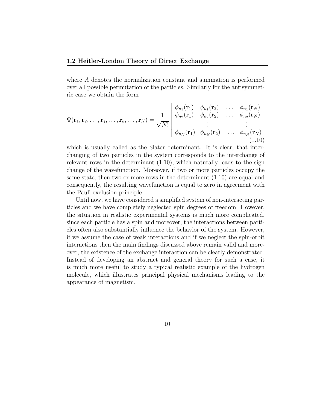where *A* denotes the normalization constant and summation is performed over all possible permutation of the particles. Similarly for the antisymmetric case we obtain the form

$$
\Psi(\mathbf{r}_1, \mathbf{r}_2, \dots, \mathbf{r}_j, \dots, \mathbf{r}_k, \dots, \mathbf{r}_N) = \frac{1}{\sqrt{N!}} \begin{vmatrix} \phi_{n_1}(\mathbf{r}_1) & \phi_{n_1}(\mathbf{r}_2) & \dots & \phi_{n_1}(\mathbf{r}_N) \\ \phi_{n_2}(\mathbf{r}_1) & \phi_{n_2}(\mathbf{r}_2) & \dots & \phi_{n_2}(\mathbf{r}_N) \\ \vdots & \vdots & \ddots & \vdots \\ \phi_{n_N}(\mathbf{r}_1) & \phi_{n_N}(\mathbf{r}_2) & \dots & \phi_{n_N}(\mathbf{r}_N) \end{vmatrix}
$$
\n(1.10)

which is usually called as the Slater determinant. It is clear, that interchanging of two particles in the system corresponds to the interchange of relevant rows in the determinant  $(1.10)$ , which naturally leads to the sign change of the wavefunction. Moreover, if two or more particles occupy the same state, then two or more rows in the determinant  $(1.10)$  are equal and consequently, the resulting wavefunction is equal to zero in agreement with the Pauli exclusion principle.

Until now, we have considered a simplified system of non-interacting particles and we have completely neglected spin degrees of freedom. However, the situation in realistic experimental systems is much more complicated, since each particle has a spin and moreover, the interactions between particles often also substantially influence the behavior of the system. However, if we assume the case of weak interactions and if we neglect the spin-orbit interactions then the main findings discussed above remain valid and moreover, the existence of the exchange interaction can be clearly demonstrated. Instead of developing an abstract and general theory for such a case, it is much more useful to study a typical realistic example of the hydrogen molecule, which illustrates principal physical mechanisms leading to the appearance of magnetism.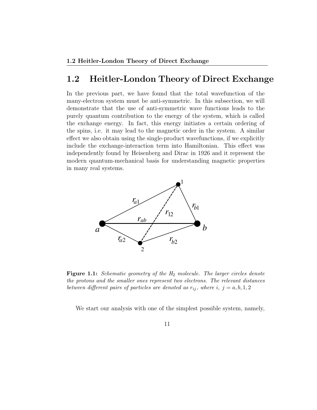## **1.2 Heitler-London Theory of Direct Exchange**

In the previous part, we have found that the total wavefunction of the many-electron system must be anti-symmetric. In this subsection, we will demonstrate that the use of anti-symmetric wave functions leads to the purely quantum contribution to the energy of the system, which is called the exchange energy. In fact, this energy initiates a certain ordering of the spins, i.e. it may lead to the magnetic order in the system. A similar effect we also obtain using the single-product wavefunctions, if we explicitly include the exchange-interaction term into Hamiltonian. This effect was independently found by Heisenberg and Dirac in 1926 and it represent the modern quantum-mechanical basis for understanding magnetic properties in many real systems.



**Figure 1.1:** *Schematic geometry of the H*<sup>2</sup> *molecule. The larger circles denote the protons and the smaller ones represent two electrons. The relevant distances between different pairs of particles are denoted as*  $r_{ij}$ , where *i*,  $j = a, b, 1, 2$ 

We start our analysis with one of the simplest possible system, namely,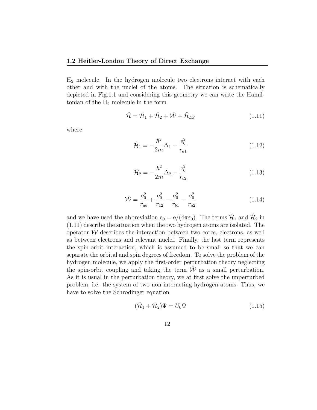$H_2$  molecule. In the hydrogen molecule two electrons interact with each other and with the nuclei of the atoms. The situation is schematically depicted in Fig.1.1 and considering this geometry we can write the Hamiltonian of the  $H_2$  molecule in the form

$$
\hat{\mathcal{H}} = \hat{\mathcal{H}}_1 + \hat{\mathcal{H}}_2 + \hat{\mathcal{W}} + \hat{\mathcal{H}}_{LS} \tag{1.11}
$$

where

$$
\hat{\mathcal{H}}_1 = -\frac{\hbar^2}{2m}\Delta_1 - \frac{e_0^2}{r_{a1}}\tag{1.12}
$$

$$
\hat{\mathcal{H}}_2 = -\frac{\hbar^2}{2m}\Delta_2 - \frac{e_0^2}{r_{b2}}\tag{1.13}
$$

$$
\hat{\mathcal{W}} = \frac{e_0^2}{r_{ab}} + \frac{e_0^2}{r_{12}} - \frac{e_0^2}{r_{b1}} - \frac{e_0^2}{r_{a2}} \tag{1.14}
$$

and we have used the abbreviation  $e_0 = e/(4\pi\varepsilon_0)$ . The terms  $\hat{\mathcal{H}}_1$  and  $\hat{\mathcal{H}}_2$  in (1.11) describe the situation when the two hydrogen atoms are isolated. The operator  $\hat{W}$  describes the interaction between two cores, electrons, as well as between electrons and relevant nuclei. Finally, the last term represents the spin-orbit interaction, which is assumed to be small so that we can separate the orbital and spin degrees of freedom. To solve the problem of the hydrogen molecule, we apply the first-order perturbation theory neglecting the spin-orbit coupling and taking the term  $\hat{W}$  as a small perturbation. As it is usual in the perturbation theory, we at first solve the unperturbed problem, i.e. the system of two non-interacting hydrogen atoms. Thus, we have to solve the Schrodinger equation

$$
(\hat{\mathcal{H}}_1 + \hat{\mathcal{H}}_2)\Psi = U_0\Psi \tag{1.15}
$$

$$
12\quad
$$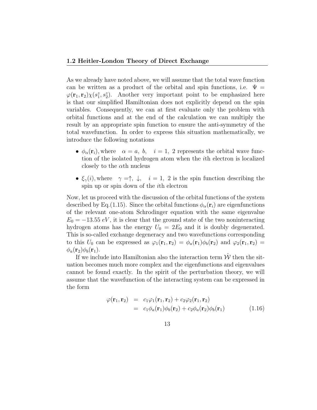As we already have noted above, we will assume that the total wave function can be written as a product of the orbital and spin functions, i.e.  $\Psi =$  $\varphi(\mathbf{r}_1, \mathbf{r}_2)\chi(s_1^z, s_2^z)$ . Another very important point to be emphasized here is that our simplified Hamiltonian does not explicitly depend on the spin variables. Consequently, we can at first evaluate only the problem with orbital functions and at the end of the calculation we can multiply the result by an appropriate spin function to ensure the anti-symmetry of the total wavefunction. In order to express this situation mathematically, we introduce the following notations

- $\phi_{\alpha}(\mathbf{r}_i)$ , where  $\alpha = a, b, i = 1, 2$  represents the orbital wave function of the isolated hydrogen atom when the *i*th electron is localized closely to the *α*th nucleus
- $\xi_{\gamma}(i)$ , where  $\gamma = \uparrow$ ,  $\downarrow$ ,  $i = 1, 2$  is the spin function describing the spin up or spin down of the *i*th electron

Now, let us proceed with the discussion of the orbital functions of the system described by Eq.(1.15). Since the orbital functions  $\phi_{\alpha}(\mathbf{r}_i)$  are eigenfunctions of the relevant one-atom Schrodinger equation with the same eigenvalue  $E_0 = -13.55 \, eV$ , it is clear that the ground state of the two noninteracting hydrogen atoms has the energy  $U_0 = 2E_0$  and it is doubly degenerated. This is so-called exchange degeneracy and two wavefunctions corresponding to this  $U_0$  can be expressed as  $\varphi_1(\mathbf{r}_1, \mathbf{r}_2) = \phi_a(\mathbf{r}_1)\phi_b(\mathbf{r}_2)$  and  $\varphi_2(\mathbf{r}_1, \mathbf{r}_2) =$  $\phi_a(\mathbf{r}_2)\phi_b(\mathbf{r}_1)$ .

If we include into Hamiltonian also the interaction term  $\hat{W}$  then the situation becomes much more complex and the eigenfunctions and eigenvalues cannot be found exactly. In the spirit of the perturbation theory, we will assume that the wavefunction of the interacting system can be expressed in the form

$$
\varphi(\mathbf{r}_1, \mathbf{r}_2) = c_1 \varphi_1(\mathbf{r}_1, \mathbf{r}_2) + c_2 \varphi_2(\mathbf{r}_1, \mathbf{r}_2)
$$
  
=  $c_1 \phi_a(\mathbf{r}_1) \phi_b(\mathbf{r}_2) + c_2 \phi_a(\mathbf{r}_2) \phi_b(\mathbf{r}_1)$  (1.16)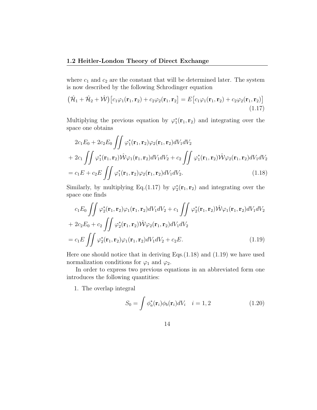where  $c_1$  and  $c_2$  are the constant that will be determined later. The system is now described by the following Schrodinger equation

$$
(\hat{\mathcal{H}}_1 + \hat{\mathcal{H}}_2 + \hat{\mathcal{W}}) [c_1 \varphi_1(\mathbf{r}_1, \mathbf{r}_2) + c_2 \varphi_2(\mathbf{r}_1, \mathbf{r}_2)] = E [c_1 \varphi_1(\mathbf{r}_1, \mathbf{r}_2) + c_2 \varphi_2(\mathbf{r}_1, \mathbf{r}_2)]
$$
\n(1.17)

Multiplying the previous equation by  $\varphi_1^*(\mathbf{r}_1, \mathbf{r}_2)$  and integrating over the space one obtains

$$
2c_1E_0 + 2c_2E_0 \iint \varphi_1^*(\mathbf{r}_1, \mathbf{r}_2)\varphi_2(\mathbf{r}_1, \mathbf{r}_2)dV_1dV_2
$$
  
+ 
$$
2c_1 \iint \varphi_1^*(\mathbf{r}_1, \mathbf{r}_2)\hat{\mathcal{W}}\varphi_1(\mathbf{r}_1, \mathbf{r}_2)dV_1dV_2 + c_2 \iint \varphi_1^*(\mathbf{r}_1, \mathbf{r}_2)\hat{\mathcal{W}}\varphi_2(\mathbf{r}_1, \mathbf{r}_2)dV_1dV_2
$$
  
= 
$$
c_1E + c_2E \iint \varphi_1^*(\mathbf{r}_1, \mathbf{r}_2)\varphi_2(\mathbf{r}_1, \mathbf{r}_2)dV_1dV_2.
$$
 (1.18)

Similarly, by multiplying Eq.(1.17) by  $\varphi_2^*(\mathbf{r}_1, \mathbf{r}_2)$  and integrating over the space one finds

$$
c_1 E_0 \iint \varphi_2^*(\mathbf{r}_1, \mathbf{r}_2) \varphi_1(\mathbf{r}_1, \mathbf{r}_2) dV_1 dV_2 + c_1 \iint \varphi_2^*(\mathbf{r}_1, \mathbf{r}_2) \hat{\mathcal{W}} \varphi_1(\mathbf{r}_1, \mathbf{r}_2) dV_1 dV_2
$$
  
+  $2c_2 E_0 + c_2 \iint \varphi_2^*(\mathbf{r}_1, \mathbf{r}_2) \hat{\mathcal{W}} \varphi_2(\mathbf{r}_1, \mathbf{r}_2) dV_1 dV_2$   
=  $c_1 E \iint \varphi_2^*(\mathbf{r}_1, \mathbf{r}_2) \varphi_1(\mathbf{r}_1, \mathbf{r}_2) dV_1 dV_2 + c_2 E.$  (1.19)

Here one should notice that in deriving Eqs.(1.18) and (1.19) we have used normalization conditions for  $\varphi_1$  and  $\varphi_2$ .

In order to express two previous equations in an abbreviated form one introduces the following quantities:

1. The overlap integral

$$
S_0 = \int \phi_a^*(\mathbf{r}_i) \phi_b(\mathbf{r}_i) dV_i \quad i = 1, 2
$$
 (1.20)

14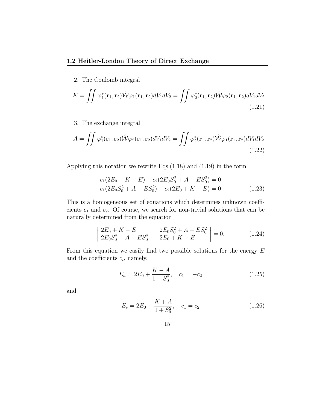2. The Coulomb integral

$$
K = \iint \varphi_1^*(\mathbf{r}_1, \mathbf{r}_2) \hat{\mathcal{W}} \varphi_1(\mathbf{r}_1, \mathbf{r}_2) dV_1 dV_2 = \iint \varphi_2^*(\mathbf{r}_1, \mathbf{r}_2) \hat{\mathcal{W}} \varphi_2(\mathbf{r}_1, \mathbf{r}_2) dV_1 dV_2
$$
\n(1.21)

3. The exchange integral

$$
A = \iint \varphi_1^*(\mathbf{r}_1, \mathbf{r}_2) \hat{\mathcal{W}} \varphi_2(\mathbf{r}_1, \mathbf{r}_2) dV_1 dV_2 = \iint \varphi_2^*(\mathbf{r}_1, \mathbf{r}_2) \hat{\mathcal{W}} \varphi_1(\mathbf{r}_1, \mathbf{r}_2) dV_1 dV_2
$$
\n(1.22)

Applying this notation we rewrite Eqs.(1.18) and (1.19) in the form

$$
c_1(2E_0 + K - E) + c_2(2E_0S_0^2 + A - ES_0^2) = 0
$$
  

$$
c_1(2E_0S_0^2 + A - ES_0^2) + c_2(2E_0 + K - E) = 0
$$
 (1.23)

This is a homogeneous set of equations which determines unknown coefficients *c*<sup>1</sup> and *c*2. Of course, we search for non-trivial solutions that can be naturally determined from the equation

$$
\begin{vmatrix} 2E_0 + K - E & 2E_0 S_0^2 + A - ES_0^2 \\ 2E_0 S_0^2 + A - ES_0^2 & 2E_0 + K - E \end{vmatrix} = 0.
$$
 (1.24)

From this equation we easily find two possible solutions for the energy *E* and the coefficients *c<sup>i</sup>* , namely,

$$
E_a = 2E_0 + \frac{K - A}{1 - S_0^2}, \quad c_1 = -c_2 \tag{1.25}
$$

and

$$
E_s = 2E_0 + \frac{K + A}{1 + S_0^2}, \quad c_1 = c_2 \tag{1.26}
$$

$$
15\quad
$$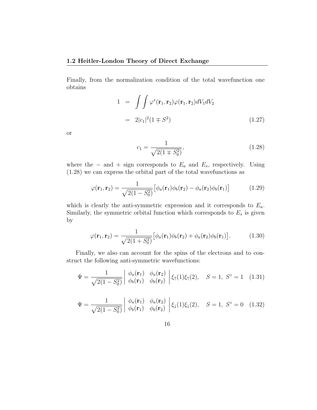Finally, from the normalization condition of the total wavefunction one obtains

$$
1 = \int \int \varphi^*(\mathbf{r}_1, \mathbf{r}_2) \varphi(\mathbf{r}_1, \mathbf{r}_2) dV_1 dV_2
$$
  
=  $2|c_1|^2 (1 \mp S^2)$  (1.27)

or

$$
c_1 = \frac{1}{\sqrt{2(1 \mp S_0^2)}},\tag{1.28}
$$

where the  $-$  and  $+$  sign corresponds to  $E_a$  and  $E_s$ , respectively. Using (1.28) we can express the orbital part of the total wavefunctions as

$$
\varphi(\mathbf{r}_1, \mathbf{r}_2) = \frac{1}{\sqrt{2(1 - S_0^2)}} \big[ \phi_a(\mathbf{r}_1) \phi_b(\mathbf{r}_2) - \phi_a(\mathbf{r}_2) \phi_b(\mathbf{r}_1) \big] \tag{1.29}
$$

which is clearly the anti-symmetric expression and it corresponds to *Ea*. Similarly, the symmetric orbital function which corresponds to  $E_s$  is given by

$$
\varphi(\mathbf{r}_1, \mathbf{r}_2) = \frac{1}{\sqrt{2(1+S_0^2)}} \big[ \phi_a(\mathbf{r}_1) \phi_b(\mathbf{r}_2) + \phi_a(\mathbf{r}_2) \phi_b(\mathbf{r}_1) \big]. \tag{1.30}
$$

Finally, we also can account for the spins of the electrons and to construct the following anti-symmetric wavefunctions:

$$
\Psi = \frac{1}{\sqrt{2(1 - S_0^2)}} \begin{vmatrix} \phi_a(\mathbf{r}_1) & \phi_a(\mathbf{r}_2) \\ \phi_b(\mathbf{r}_1) & \phi_b(\mathbf{r}_2) \end{vmatrix} \xi_{\uparrow}(1)\xi_{\uparrow}(2), \quad S = 1, S^z = 1 \quad (1.31)
$$

$$
\Psi = \frac{1}{\sqrt{2(1 - S_0^2)}} \begin{vmatrix} \phi_a(\mathbf{r}_1) & \phi_a(\mathbf{r}_2) \\ \phi_b(\mathbf{r}_1) & \phi_b(\mathbf{r}_2) \end{vmatrix} \xi_{\downarrow}(1) \xi_{\downarrow}(2), \quad S = 1, S^z = 0 \quad (1.32)
$$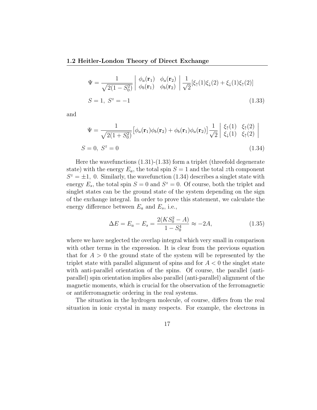#### **1.2 Heitler-London Theory of Direct Exchange**

$$
\Psi = \frac{1}{\sqrt{2(1 - S_0^2)}} \begin{vmatrix} \phi_a(\mathbf{r}_1) & \phi_a(\mathbf{r}_2) \\ \phi_b(\mathbf{r}_1) & \phi_b(\mathbf{r}_2) \end{vmatrix} \frac{1}{\sqrt{2}} [\xi_{\uparrow}(1)\xi_{\downarrow}(2) + \xi_{\downarrow}(1)\xi_{\uparrow}(2)]
$$
  
\n
$$
S = 1, S^z = -1
$$
\n(1.33)

and

$$
\Psi = \frac{1}{\sqrt{2(1+S_0^2)}} \left[ \phi_a(\mathbf{r}_1)\phi_b(\mathbf{r}_2) + \phi_b(\mathbf{r}_1)\phi_a(\mathbf{r}_2) \right] \frac{1}{\sqrt{2}} \begin{vmatrix} \xi_{\uparrow}(1) & \xi_{\uparrow}(2) \\ \xi_{\downarrow}(1) & \xi_{\uparrow}(2) \end{vmatrix}
$$
  
\n
$$
S = 0, \ S^z = 0
$$
\n(1.34)

Here the wavefunctions (1.31)-(1.33) form a triplet (threefold degenerate state) with the energy  $E_a$ , the total spin  $S = 1$  and the total *z*th component  $S^z = \pm 1$ , 0. Similarly, the wavefunction (1.34) describes a singlet state with energy  $E_s$ , the total spin  $S = 0$  and  $S^z = 0$ . Of course, both the triplet and singlet states can be the ground state of the system depending on the sign of the exchange integral. In order to prove this statement, we calculate the energy difference between *E<sup>a</sup>* and *Es*, i.e.,

$$
\Delta E = E_a - E_s = \frac{2(KS_0^2 - A)}{1 - S_0^4} \approx -2A,\tag{1.35}
$$

where we have neglected the overlap integral which very small in comparison with other terms in the expression. It is clear from the previous equation that for  $A > 0$  the ground state of the system will be represented by the triplet state with parallel alignment of spins and for *A <* 0 the singlet state with anti-parallel orientation of the spins. Of course, the parallel (antiparallel) spin orientation implies also parallel (anti-parallel) alignment of the magnetic moments, which is crucial for the observation of the ferromagnetic or antiferromagnetic ordering in the real systems.

The situation in the hydrogen molecule, of course, differs from the real situation in ionic crystal in many respects. For example, the electrons in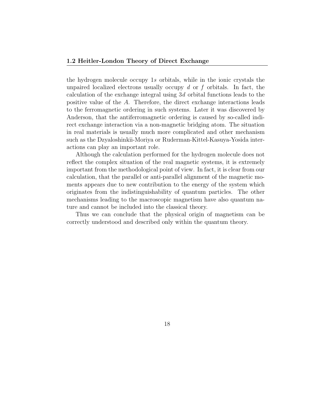the hydrogen molecule occupy 1*s* orbitals, while in the ionic crystals the unpaired localized electrons usually occupy *d* or *f* orbitals. In fact, the calculation of the exchange integral using 3*d* orbital functions leads to the positive value of the *A*. Therefore, the direct exchange interactions leads to the ferromagnetic ordering in such systems. Later it was discovered by Anderson, that the antiferromagnetic ordering is caused by so-called indirect exchange interaction via a non-magnetic bridging atom. The situation in real materials is usually much more complicated and other mechanism such as the Dzyaloshinkii-Moriya or Ruderman-Kittel-Kasuya-Yosida interactions can play an important role.

Although the calculation performed for the hydrogen molecule does not reflect the complex situation of the real magnetic systems, it is extremely important from the methodological point of view. In fact, it is clear from our calculation, that the parallel or anti-parallel alignment of the magnetic moments appears due to new contribution to the energy of the system which originates from the indistinguishability of quantum particles. The other mechanisms leading to the macroscopic magnetism have also quantum nature and cannot be included into the classical theory.

Thus we can conclude that the physical origin of magnetism can be correctly understood and described only within the quantum theory.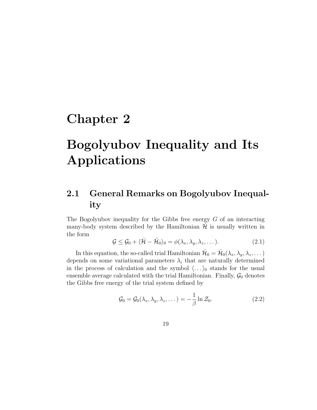# **Chapter 2**

# **Bogolyubov Inequality and Its Applications**

## **2.1 General Remarks on Bogolyubov Inequality**

The Bogolyubov inequality for the Gibbs free energy *G* of an interacting many-body system described by the Hamiltonian  $H$  is usually written in the form

$$
\mathcal{G} \leq \mathcal{G}_0 + \langle \hat{\mathcal{H}} - \hat{\mathcal{H}}_0 \rangle_0 = \phi(\lambda_x, \lambda_y, \lambda_z, \dots). \tag{2.1}
$$

In this equation, the so-called trial Hamiltonian  $\hat{\mathcal{H}}_0 = \hat{\mathcal{H}}_0(\lambda_x, \lambda_y, \lambda_z, \dots)$ depends on some variational parameters  $\lambda_i$  that are naturally determined in the process of calculation and the symbol  $\langle \ldots \rangle_0$  stands for the usual ensemble average calculated with the trial Hamiltonian. Finally,  $\mathcal{G}_0$  denotes the Gibbs free energy of the trial system defined by

$$
\mathcal{G}_0 = \mathcal{G}_0(\lambda_x, \lambda_y, \lambda_z, \dots) = -\frac{1}{\beta} \ln \mathcal{Z}_0.
$$
 (2.2)

19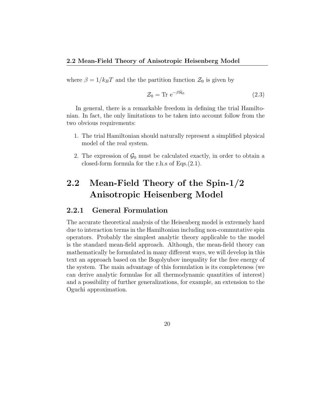where  $\beta = 1/k_B T$  and the the partition function  $\mathcal{Z}_0$  is given by

$$
\mathcal{Z}_0 = \text{Tr} \ e^{-\beta \hat{\mathcal{H}}_0} \tag{2.3}
$$

In general, there is a remarkable freedom in defining the trial Hamiltonian. In fact, the only limitations to be taken into account follow from the two obvious requirements:

- 1. The trial Hamiltonian should naturally represent a simplified physical model of the real system.
- 2. The expression of  $\mathcal{G}_0$  must be calculated exactly, in order to obtain a closed-form formula for the r.h.s of Eqs.(2.1).

## **2.2 Mean-Field Theory of the Spin-1/2 Anisotropic Heisenberg Model**

#### **2.2.1 General Formulation**

The accurate theoretical analysis of the Heisenberg model is extremely hard due to interaction terms in the Hamiltonian including non-commutative spin operators. Probably the simplest analytic theory applicable to the model is the standard mean-field approach. Although, the mean-field theory can mathematically be formulated in many different ways, we will develop in this text an approach based on the Bogolyubov inequality for the free energy of the system. The main advantage of this formulation is its completeness (we can derive analytic formulas for all thermodynamic quantities of interest) and a possibility of further generalizations, for example, an extension to the Oguchi approximation.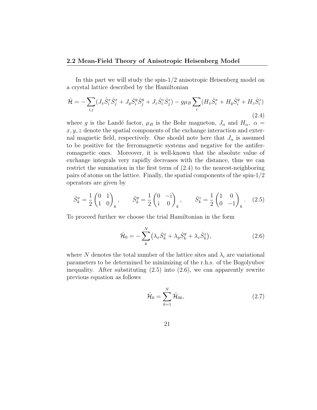In this part we will study the spin-1/2 anisotropic Heisenberg model on a crystal lattice described by the Hamiltonian

$$
\hat{\mathcal{H}} = -\sum_{i,j} (J_x \hat{S}_i^x \hat{S}_j^x + J_y \hat{S}_i^y \hat{S}_j^y + J_z \hat{S}_i^z \hat{S}_j^z) - g\mu_B \sum_i (H_x \hat{S}_i^x + H_y \hat{S}_i^y + H_z \hat{S}_i^z)
$$
\n(2.4)

where *g* is the Landé factor,  $\mu_B$  is the Bohr magneton,  $J_\alpha$  and  $H_\alpha$ ,  $\alpha$  = *x, y, z* denote the spatial components of the exchange interaction and external magnetic field, respectively. One should note here that  $J_{\alpha}$  is assumed to be positive for the ferromagnetic systems and negative for the antiferromagnetic ones. Moreover, it is well-known that the absolute value of exchange integrals very rapidly decreases with the distance, thus we can restrict the summation in the first term of (2.4) to the nearest-neighboring pairs of atoms on the lattice. Finally, the spatial components of the spin-1/2 operators are given by

$$
\hat{S}_k^x = \frac{1}{2} \begin{pmatrix} 0 & 1 \\ 1 & 0 \end{pmatrix}_k, \qquad \hat{S}_k^y = \frac{1}{2} \begin{pmatrix} 0 & -i \\ i & 0 \end{pmatrix}_k, \qquad \hat{S}_k^z = \frac{1}{2} \begin{pmatrix} 1 & 0 \\ 0 & -1 \end{pmatrix}_k.
$$
 (2.5)

To proceed further we choose the trial Hamiltonian in the form

$$
\hat{\mathcal{H}}_0 = -\sum_{k}^{N} \left(\lambda_x \hat{S}_k^x + \lambda_y \hat{S}_k^y + \lambda_z \hat{S}_k^z\right),\tag{2.6}
$$

where  $N$  denotes the total number of the lattice sites and  $\lambda_i$  are variational parameters to be determined be minimizing of the r.h.s. of the Bogolyubov inequality. After substituting  $(2.5)$  into  $(2.6)$ , we can apparently rewrite previous equation as follows

$$
\hat{\mathcal{H}}_0 = \sum_{k=1}^N \hat{\mathcal{H}}_{0k},\tag{2.7}
$$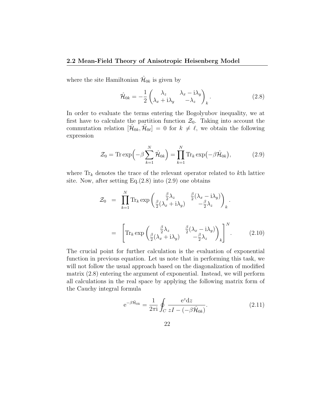#### **2.2 Mean-Field Theory of Anisotropic Heisenberg Model**

where the site Hamiltonian  $\hat{\mathcal{H}}_{0k}$  is given by

$$
\hat{\mathcal{H}}_{0k} = -\frac{1}{2} \begin{pmatrix} \lambda_z & \lambda_x - i\lambda_y \\ \lambda_x + i\lambda_y & -\lambda_z \end{pmatrix}_k.
$$
\n(2.8)

In order to evaluate the terms entering the Bogolyubov inequality, we at first have to calculate the partition function  $\mathcal{Z}_0$ . Taking into account the commutation relation  $[\hat{\mathcal{H}}_{0k}, \hat{\mathcal{H}}_{0l}] = 0$  for  $k \neq \ell$ , we obtain the following expression

$$
\mathcal{Z}_0 = \text{Tr} \exp\left(-\beta \sum_{k=1}^N \hat{\mathcal{H}}_{0k}\right) = \prod_{k=1}^N \text{Tr}_k \exp\left(-\beta \hat{\mathcal{H}}_{0k}\right),\tag{2.9}
$$

where Tr*<sup>k</sup>* denotes the trace of the relevant operator related to *k*th lattice site. Now, after setting Eq. $(2.8)$  into  $(2.9)$  one obtains

$$
\mathcal{Z}_0 = \prod_{k=1}^N \text{Tr}_k \exp\left(\frac{\beta}{2} \lambda_z - \frac{\beta}{2} (\lambda_x - i\lambda_y)\right)_k.
$$

$$
= \left[\text{Tr}_k \exp\left(\frac{\beta}{2} \lambda_z - \frac{\beta}{2} (\lambda_x - i\lambda_y)\right)_k\right]^N.
$$
(2.10)

The crucial point for further calculation is the evaluation of exponential function in previous equation. Let us note that in performing this task, we will not follow the usual approach based on the diagonalization of modified matrix (2.8) entering the argument of exponential. Instead, we will perform all calculations in the real space by applying the following matrix form of the Cauchy integral formula

$$
e^{-\beta \hat{\mathcal{H}}_{0k}} = \frac{1}{2\pi i} \oint_C \frac{e^z dz}{zI - (-\beta \hat{\mathcal{H}}_{0k})}.
$$
 (2.11)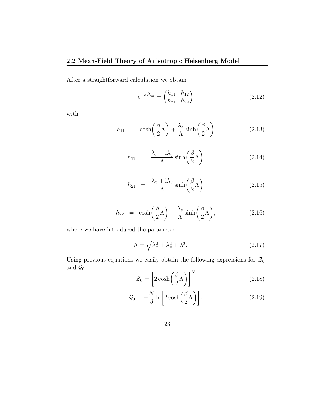After a straightforward calculation we obtain

$$
e^{-\beta \hat{\mathcal{H}}_{0k}} = \begin{pmatrix} h_{11} & h_{12} \\ h_{21} & h_{22} \end{pmatrix}
$$
 (2.12)

with

$$
h_{11} = \cosh\left(\frac{\beta}{2}\Lambda\right) + \frac{\lambda_z}{\Lambda}\sinh\left(\frac{\beta}{2}\Lambda\right) \tag{2.13}
$$

$$
h_{12} = \frac{\lambda_x - i\lambda_y}{\Lambda} \sinh\left(\frac{\beta}{2}\Lambda\right) \tag{2.14}
$$

$$
h_{21} = \frac{\lambda_x + i\lambda_y}{\Lambda} \sinh\left(\frac{\beta}{2}\Lambda\right) \tag{2.15}
$$

$$
h_{22} = \cosh\left(\frac{\beta}{2}\Lambda\right) - \frac{\lambda_z}{\Lambda}\sinh\left(\frac{\beta}{2}\Lambda\right),\tag{2.16}
$$

where we have introduced the parameter

$$
\Lambda = \sqrt{\lambda_x^2 + \lambda_y^2 + \lambda_z^2}.\tag{2.17}
$$

Using previous equations we easily obtain the following expressions for  $\mathcal{Z}_0$ and  $\mathcal{G}_0$ 

$$
\mathcal{Z}_0 = \left[2\cosh\left(\frac{\beta}{2}\Lambda\right)\right]^N\tag{2.18}
$$

$$
\mathcal{G}_0 = -\frac{N}{\beta} \ln \left[ 2 \cosh \left( \frac{\beta}{2} \Lambda \right) \right]. \tag{2.19}
$$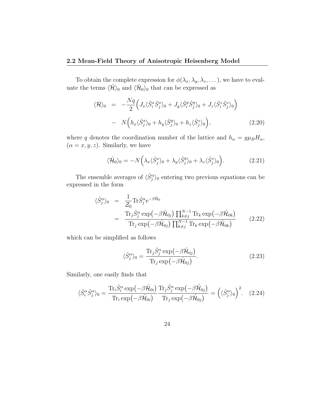#### **2.2 Mean-Field Theory of Anisotropic Heisenberg Model**

To obtain the complete expression for  $\phi(\lambda_x, \lambda_y, \lambda_z, \dots)$ , we have to evaluate the terms  $\langle \hat{\mathcal{H}} \rangle_0$  and  $\langle \hat{\mathcal{H}}_0 \rangle_0$  that can be expressed as

$$
\langle \hat{\mathcal{H}} \rangle_0 = -\frac{Nq}{2} \Big( J_x \langle \hat{S}_i^x \hat{S}_j^x \rangle_0 + J_y \langle \hat{S}_i^y \hat{S}_j^y \rangle_0 + J_z \langle \hat{S}_i^z \hat{S}_j^z \rangle_0 \Big) - N \Big( h_x \langle \hat{S}_j^x \rangle_0 + h_y \langle \hat{S}_j^y \rangle_0 + h_z \langle \hat{S}_j^z \rangle_0 \Big),
$$
(2.20)

where *q* denotes the coordination number of the lattice and  $h_{\alpha} = g\mu_B H_{\alpha}$ ,  $(\alpha = x, y, z)$ . Similarly, we have

$$
\langle \hat{\mathcal{H}}_0 \rangle_0 = -N \Big( \lambda_x \langle \hat{S}_j^x \rangle_0 + \lambda_y \langle \hat{S}_j^y \rangle_0 + \lambda_z \langle \hat{S}_j^z \rangle_0 \Big). \tag{2.21}
$$

The ensemble averages of  $\langle \hat{S}_{j}^{\alpha} \rangle$ <sup>0</sup> entering two previous equations can be expressed in the form

$$
\langle \hat{S}_{j}^{\alpha} \rangle_{0} = \frac{1}{\mathcal{Z}_{0}} \text{Tr} \hat{S}_{j}^{\alpha} e^{-\beta \hat{\mathcal{H}}_{0}} \n= \frac{\text{Tr}_{j} \hat{S}_{j}^{\alpha} \exp(-\beta \hat{\mathcal{H}}_{0j}) \prod_{k \neq j}^{N-1} \text{Tr}_{k} \exp(-\beta \hat{\mathcal{H}}_{0k})}{\text{Tr}_{j} \exp(-\beta \hat{\mathcal{H}}_{0j}) \prod_{k \neq j}^{N-1} \text{Tr}_{k} \exp(-\beta \hat{\mathcal{H}}_{0k})}
$$
\n(2.22)

which can be simplified as follows

$$
\langle \hat{S}_j^{\alpha} \rangle_0 = \frac{\text{Tr}_j \hat{S}_j^{\alpha} \exp\left(-\beta \hat{\mathcal{H}}_{0j}\right)}{\text{Tr}_j \exp\left(-\beta \hat{\mathcal{H}}_{0j}\right)}.
$$
\n(2.23)

Similarly, one easily finds that

$$
\langle \hat{S}_i^{\alpha} \hat{S}_j^{\alpha} \rangle_0 = \frac{\text{Tr}_i \hat{S}_i^{\alpha} \exp\left(-\beta \hat{\mathcal{H}}_{0i}\right)}{\text{Tr}_i \exp\left(-\beta \hat{\mathcal{H}}_{0i}\right)} \frac{\text{Tr}_j \hat{S}_j^{\alpha} \exp\left(-\beta \hat{\mathcal{H}}_{0j}\right)}{\text{Tr}_j \exp\left(-\beta \hat{\mathcal{H}}_{0j}\right)} = \left(\langle \hat{S}_j^{\alpha} \rangle_0\right)^2. \tag{2.24}
$$

24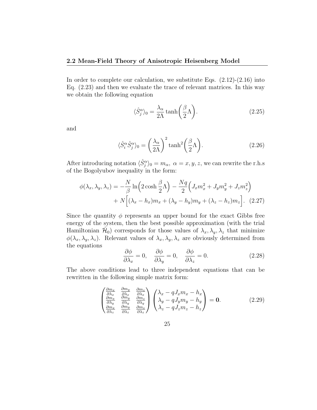In order to complete our calculation, we substitute Eqs.  $(2.12)-(2.16)$  into Eq. (2.23) and then we evaluate the trace of relevant matrices. In this way we obtain the following equation

$$
\langle \hat{S}_j^{\alpha} \rangle_0 = \frac{\lambda_{\alpha}}{2\Lambda} \tanh\left(\frac{\beta}{2}\Lambda\right). \tag{2.25}
$$

and

$$
\langle \hat{S}_i^{\alpha} \hat{S}_j^{\alpha} \rangle_0 = \left(\frac{\lambda_{\alpha}}{2\Lambda}\right)^2 \tanh^2\left(\frac{\beta}{2}\Lambda\right). \tag{2.26}
$$

After introducing notation  $\langle \hat{S}_{j}^{\alpha} \rangle_0 = m_{\alpha}, \ \alpha = x, y, z$ , we can rewrite the r.h.s of the Bogolyubov inequality in the form:

$$
\phi(\lambda_x, \lambda_y, \lambda_z) = -\frac{N}{\beta} \ln \left( 2 \cosh \frac{\beta}{2} \Lambda \right) - \frac{Nq}{2} \left( J_x m_x^2 + J_y m_y^2 + J_z m_z^2 \right) + N \left[ (\lambda_x - h_x) m_x + (\lambda_y - h_y) m_y + (\lambda_z - h_z) m_z \right].
$$
 (2.27)

Since the quantity  $\phi$  represents an upper bound for the exact Gibbs free energy of the system, then the best possible approximation (with the trial Hamiltonian  $\hat{\mathcal{H}}_0$  corresponds for those values of  $\lambda_x, \lambda_y, \lambda_z$  that minimize  $\phi(\lambda_x, \lambda_y, \lambda_z)$ . Relevant values of  $\lambda_x, \lambda_y, \lambda_z$  are obviously determined from the equations

$$
\frac{\partial \phi}{\partial \lambda_x} = 0, \quad \frac{\partial \phi}{\partial \lambda_y} = 0, \quad \frac{\partial \phi}{\partial \lambda_z} = 0.
$$
 (2.28)

The above conditions lead to three independent equations that can be rewritten in the following simple matrix form:

$$
\begin{pmatrix}\n\frac{\partial m_x}{\partial \lambda_x} & \frac{\partial m_y}{\partial \lambda_x} & \frac{\partial m_z}{\partial \lambda_x} \\
\frac{\partial m_x}{\partial \lambda_y} & \frac{\partial m_y}{\partial \lambda_y} & \frac{\partial m_z}{\partial \lambda_y} \\
\frac{\partial m_x}{\partial \lambda_z} & \frac{\partial m_y}{\partial \lambda_z} & \frac{\partial m_z}{\partial \lambda_z}\n\end{pmatrix}\n\begin{pmatrix}\n\lambda_x - qJ_x m_x - h_x \\
\lambda_y - qJ_y m_y - h_y \\
\lambda_z - qJ_z m_z - h_z\n\end{pmatrix} = 0.
$$
\n(2.29)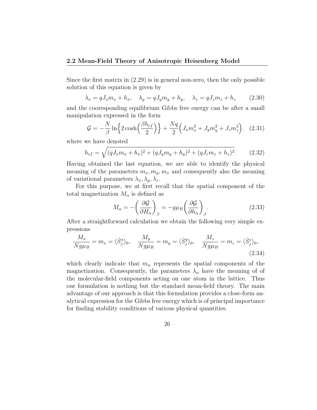#### **2.2 Mean-Field Theory of Anisotropic Heisenberg Model**

Since the first matrix in (2.29) is in general non-zero, then the only possible solution of this equation is given by

$$
\lambda_x = q J_x m_x + h_x, \quad \lambda_y = q J_y m_y + h_y, \quad \lambda_z = q J_z m_z + h_z \quad (2.30)
$$

and the cooresponding equilibrium Gibbs free energy can be after a small manipulation expressed in the form

$$
G = -\frac{N}{\beta} \ln \left\{ 2 \cosh \left( \frac{\beta h_{ef}}{2} \right) \right\} + \frac{Nq}{2} \left( J_x m_x^2 + J_y m_y^2 + J_z m_z^2 \right). \tag{2.31}
$$

where we have denoted

$$
h_{ef} = \sqrt{(qJ_xm_x + h_x)^2 + (qJ_ym_y + h_y)^2 + (qJ_zm_z + h_z)^2}.
$$
 (2.32)

Having obtained the last equation, we are able to identify the physical meaning of the parameters  $m_x, m_y, m_x$  and consequently also the meaning of variational parameters  $\lambda_x, \lambda_y, \lambda_z$ .

For this purpose, we at first recall that the spatial component of the total magnetization  $M_{\alpha}$  is defined as

$$
M_{\alpha} = -\left(\frac{\partial \mathcal{G}}{\partial H_{\alpha}}\right)_{\beta} = -g\mu_{B} \left(\frac{\partial \mathcal{G}}{\partial h_{\alpha}}\right)_{\beta}.
$$
 (2.33)

After a straightforward calculation we obtain the following very simple expressions

$$
\frac{M_x}{Ng\mu_B} = m_x = \langle \hat{S}_j^x \rangle_0, \quad \frac{M_y}{Ng\mu_B} = m_y = \langle \hat{S}_j^y \rangle_0, \quad \frac{M_z}{Ng\mu_B} = m_z = \langle \hat{S}_j^z \rangle_0,
$$
\n(2.34)

which clearly indicate that  $m_\alpha$  represents the spatial components of the magnetization. Consequently, the parameters  $\lambda_{\alpha}$  have the meaning of of the molecular-field components acting on one atom in the lattice. Thus our formulation is nothing but the standard mean-field theory. The main advantage of our approach is that this formulation provides a close-form analytical expression for the Gibbs free energy which is of principal importance for finding stability conditions of various physical quantities.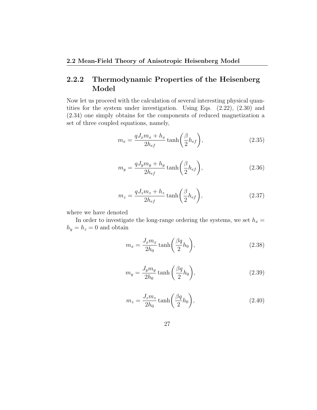## **2.2.2 Thermodynamic Properties of the Heisenberg Model**

Now let us proceed with the calculation of several interesting physical quantities for the system under investigation. Using Eqs. (2.22), (2.30) and (2.34) one simply obtains for the components of reduced magnetization a set of three coupled equations, namely,

$$
m_x = \frac{qJ_x m_x + h_x}{2h_{ef}} \tanh\left(\frac{\beta}{2}h_{ef}\right),\tag{2.35}
$$

$$
m_y = \frac{qJ_y m_y + h_y}{2h_{ef}} \tanh\left(\frac{\beta}{2}h_{ef}\right),\tag{2.36}
$$

$$
m_z = \frac{qJ_z m_z + h_z}{2h_{ef}} \tanh\left(\frac{\beta}{2}h_{ef}\right),\tag{2.37}
$$

where we have denoted

In order to investigate the long-range ordering the systems, we set  $h_x =$  $h_y = h_z = 0$  and obtain

$$
m_x = \frac{J_x m_x}{2h_0} \tanh\left(\frac{\beta q}{2} h_0\right),\tag{2.38}
$$

$$
m_y = \frac{J_y m_y}{2h_0} \tanh\left(\frac{\beta q}{2}h_0\right),\tag{2.39}
$$

$$
m_z = \frac{J_z m_z}{2h_0} \tanh\left(\frac{\beta q}{2} h_0\right),\tag{2.40}
$$

$$
27\quad
$$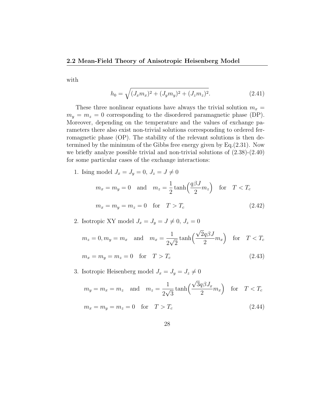with

$$
h_0 = \sqrt{(J_x m_x)^2 + (J_y m_y)^2 + (J_z m_z)^2}.
$$
 (2.41)

These three nonlinear equations have always the trivial solution  $m_x =$  $m_y = m_z = 0$  corresponding to the disordered paramagnetic phase (DP). Moreover, depending on the temperature and the values of exchange parameters there also exist non-trivial solutions corresponding to ordered ferromagnetic phase (OP). The stability of the relevant solutions is then determined by the minimum of the Gibbs free energy given by Eq.(2.31). Now we briefly analyze possible trivial and non-trivial solutions of (2.38)-(2.40) for some particular cases of the exchange interactions:

1. Ising model  $J_x = J_y = 0, J_z = J \neq 0$ 

$$
m_x = m_y = 0 \text{ and } m_z = \frac{1}{2} \tanh\left(\frac{q\beta J}{2} m_z\right) \text{ for } T < T_c
$$
  

$$
m_x = m_y = m_z = 0 \text{ for } T > T_c
$$
 (2.42)

2. Isotropic XY model  $J_x = J_y = J \neq 0, J_z = 0$ 

$$
m_z = 0, m_y = m_x \text{ and } m_x = \frac{1}{2\sqrt{2}} \tanh\left(\frac{\sqrt{2}q\beta J}{2}m_x\right) \text{ for } T < T_c
$$
  

$$
m_x = m_y = m_z = 0 \text{ for } T > T_c
$$
 (2.43)

3. Isotropic Heisenberg model  $J_x = J_y = J_z \neq 0$ 

$$
m_y = m_x = m_z \text{ and } m_z = \frac{1}{2\sqrt{3}} \tanh\left(\frac{\sqrt{3}q\beta J_x}{2}m_x\right) \text{ for } T < T_c
$$
  

$$
m_x = m_y = m_z = 0 \text{ for } T > T_c
$$
 (2.44)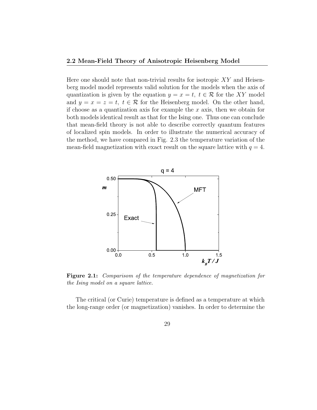Here one should note that non-trivial results for isotropic *XY* and Heisenberg model model represents valid solution for the models when the axis of quantization is given by the equation  $y = x = t$ ,  $t \in \mathcal{R}$  for the XY model and  $y = x = z = t$ ,  $t \in \mathcal{R}$  for the Heisenberg model. On the other hand, if choose as a quantization axis for example the *x* axis, then we obtain for both models identical result as that for the Ising one. Thus one can conclude that mean-field theory is not able to describe correctly quantum features of localized spin models. In order to illustrate the numerical accuracy of the method, we have compared in Fig. 2.3 the temperature variation of the mean-field magnetization with exact result on the square lattice with  $q = 4$ .



**Figure 2.1:** *Comparisom of the temperature dependence of magnetization for the Ising model on a square lattice.*

The critical (or Curie) temperature is defined as a temperature at which the long-range order (or magnetization) vanishes. In order to determine the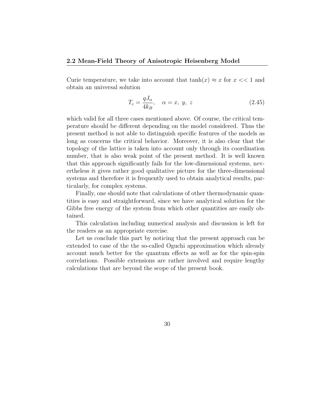Curie temperature, we take into account that  $tanh(x) \approx x$  for  $x \ll 1$  and obtain an universal solution

$$
T_c = \frac{qJ_\alpha}{4k_B}, \quad \alpha = x, \ y, \ z \tag{2.45}
$$

which valid for all three cases mentioned above. Of course, the critical temperature should be different depending on the model considered. Thus the present method is not able to distinguish specific features of the models as long as concerns the critical behavior. Moreover, it is also clear that the topology of the lattice is taken into account only through its coordination number, that is also weak point of the present method. It is well known that this approach significantly fails for the low-dimensional systems, nevertheless it gives rather good qualitative picture for the three-dimensional systems and therefore it is frequently used to obtain analytical results, particularly, for complex systems.

Finally, one should note that calculations of other thermodynamic quantities is easy and straightforward, since we have analytical solution for the Gibbs free energy of the system from which other quantities are easily obtained.

This calculation including numerical analysis and discussion is left for the readers as an appropriate exercise.

Let us conclude this part by noticing that the present approach can be extended to case of the the so-called Oguchi approximation which already account much better for the quantum effects as well as for the spin-spin correlations. Possible extensions are rather involved and require lengthy calculations that are beyond the scope of the present book.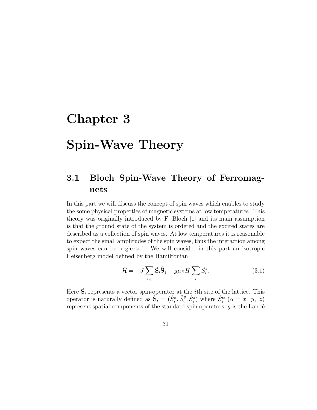# **Chapter 3**

# **Spin-Wave Theory**

## **3.1 Bloch Spin-Wave Theory of Ferromagnets**

In this part we will discuss the concept of spin waves which enables to study the some physical properties of magnetic systems at low temperatures. This theory was originally introduced by F. Bloch [1] and its main assumption is that the ground state of the system is ordered and the excited states are described as a collection of spin waves. At low temperatures it is reasonable to expect the small amplitudes of the spin waves, thus the interaction among spin waves can be neglected. We will consider in this part an isotropic Heisenberg model defined by the Hamiltonian

$$
\hat{\mathcal{H}} = -J \sum_{i,j} \hat{\mathbf{S}}_i \hat{\mathbf{S}}_j - g\mu_B H \sum_i \hat{S}_i^z.
$$
 (3.1)

Here  $\hat{\mathbf{S}}_i$  represents a vector spin-operator at the *i*<sup>th</sup> site of the lattice. This operator is naturally defined as  $\tilde{\mathbf{S}}_i = (\hat{S}_i^x, \hat{S}_i^y, \hat{S}_i^z)$  where  $\hat{S}_i^{\alpha}$  ( $\alpha = x, y, z$ ) represent spatial components of the standard spin operators,  $g$  is the Landé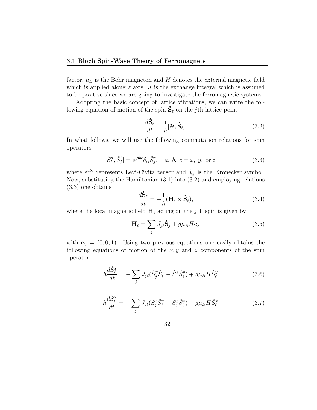factor,  $\mu_B$  is the Bohr magneton and  $H$  denotes the external magnetic field which is applied along *z* axis. *J* is the exchange integral which is assumed to be positive since we are going to investigate the ferromagnetic systems.

Adopting the basic concept of lattice vibrations, we can write the following equation of motion of the spin  $\hat{\mathbf{S}}_\ell$  on the *j*th lattice point

$$
\frac{d\hat{\mathbf{S}}_{\ell}}{dt} = \frac{\mathrm{i}}{\hbar}[\mathcal{H}, \hat{\mathbf{S}}_{\ell}].
$$
\n(3.2)

In what follows, we will use the following commutation relations for spin operators

$$
[\hat{S}_i^a, \hat{S}_j^b] = i\varepsilon^{abc}\delta_{ij}\hat{S}_j^c, \quad a, b, c = x, y, \text{ or } z
$$
\n(3.3)

where  $\varepsilon^{abc}$  represents Levi-Civita tensor and  $\delta_{ij}$  is the Kronecker symbol. Now, substituting the Hamiltonian (3.1) into (3.2) and employing relations (3.3) one obtains

$$
\frac{d\hat{\mathbf{S}}_{\ell}}{dt} = -\frac{1}{\hbar}(\mathbf{H}_{\ell} \times \hat{\mathbf{S}}_{\ell}),\tag{3.4}
$$

where the local magnetic field  $\mathbf{H}_{\ell}$  acting on the *j*th spin is given by

$$
\mathbf{H}_{\ell} = \sum_{j} J_{j\ell} \hat{\mathbf{S}}_{j} + g\mu_{B} H \mathbf{e}_{3}
$$
 (3.5)

with  $\mathbf{e}_3 = (0, 0, 1)$ . Using two previous equations one easily obtains the following equations of motion of the  $x, y$  and  $z$  components of the spin operator

$$
\hbar \frac{d\hat{S}_{\ell}^{x}}{dt} = -\sum_{j} J_{j\ell}(\hat{S}_{j}^{y}\hat{S}_{\ell}^{z} - \hat{S}_{j}^{z}\hat{S}_{\ell}^{y}) + g\mu_{B}H\hat{S}_{\ell}^{y}
$$
(3.6)

$$
\hbar \frac{d\hat{S}_{\ell}^{y}}{dt} = -\sum_{j} J_{j\ell}(\hat{S}_{j}^{z}\hat{S}_{\ell}^{x} - \hat{S}_{j}^{x}\hat{S}_{\ell}^{z}) - g\mu_{B}H\hat{S}_{\ell}^{x}
$$
(3.7)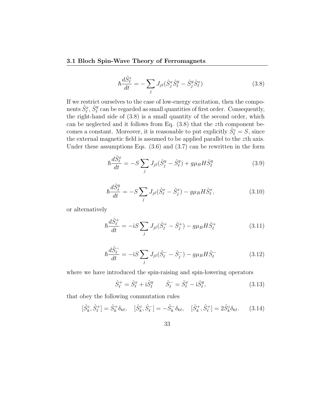$$
\hbar \frac{d\hat{S}_{\ell}^{z}}{dt} = -\sum_{j} J_{j\ell} (\hat{S}_{j}^{x} \hat{S}_{\ell}^{y} - \hat{S}_{j}^{y} \hat{S}_{\ell}^{x})
$$
\n(3.8)

If we restrict ourselves to the case of low-energy excitation, then the components  $\hat{S}^x_{\ell}, \hat{S}^y_{\ell}$  can be regarded as small quantities of first order. Consequently, the right-hand side of (3.8) is a small quantity of the second order, which can be neglected and it follows from Eq. (3.8) that the *z*th component becomes a constant. Moreover, it is reasonable to put explicitly  $\hat{S}^z_{\ell} = S$ , since the external magnetic field is assumed to be applied parallel to the *z*th axis. Under these assumptions Eqs.  $(3.6)$  and  $(3.7)$  can be rewritten in the form

$$
\hbar \frac{d\hat{S}_{\ell}^{x}}{dt} = -S \sum_{j} J_{j\ell} (\hat{S}_{j}^{y} - \hat{S}_{\ell}^{y}) + g\mu_{B} H \hat{S}_{\ell}^{y}
$$
(3.9)

$$
\hbar \frac{d\hat{S}_{\ell}^{y}}{dt} = -S \sum_{j} J_{j\ell} (\hat{S}_{\ell}^{x} - \hat{S}_{j}^{x}) - g\mu_{B} H \hat{S}_{\ell}^{x}, \qquad (3.10)
$$

or alternatively

$$
\hbar \frac{d\hat{S}_{\ell}^{+}}{dt} = -iS \sum_{j} J_{j\ell} (\hat{S}_{\ell}^{+} - \hat{S}_{j}^{+}) - g\mu_{B} H \hat{S}_{\ell}^{+}
$$
(3.11)

$$
\hbar \frac{d\hat{S}_{\ell}^{-}}{dt} = -iS \sum_{j} J_{j\ell} (\hat{S}_{\ell}^{-} - \hat{S}_{j}^{-}) - g\mu_{B} H \hat{S}_{\ell}^{-}
$$
(3.12)

where we have introduced the spin-raising and spin-lowering operators

$$
\hat{S}_{\ell}^{+} = \hat{S}_{\ell}^{x} + i\hat{S}_{\ell}^{y} \qquad \hat{S}_{\ell}^{-} = \hat{S}_{\ell}^{x} - i\hat{S}_{\ell}^{y}, \qquad (3.13)
$$

that obey the following commutation rules

$$
[\hat{S}_k^z, \hat{S}_\ell^+] = \hat{S}_k^+ \delta_{k\ell}, \quad [\hat{S}_k^z, \hat{S}_\ell^-] = -\hat{S}_k^- \delta_{k\ell}, \quad [\hat{S}_k^+, \hat{S}_\ell^+] = 2\hat{S}_k^z \delta_{k\ell}.\tag{3.14}
$$

$$
33\,
$$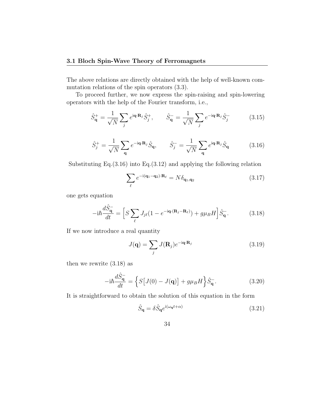The above relations are directly obtained with the help of well-known commutation relations of the spin operators (3.3).

To proceed further, we now express the spin-raising and spin-lowering operators with the help of the Fourier transform, i.e.,

$$
\hat{S}_{\mathbf{q}}^{+} = \frac{1}{\sqrt{N}} \sum_{j} e^{i\mathbf{q} \cdot \mathbf{R}_{j}} \hat{S}_{j}^{+}, \qquad \hat{S}_{\mathbf{q}}^{-} = \frac{1}{\sqrt{N}} \sum_{j} e^{-i\mathbf{q} \cdot \mathbf{R}_{j}} \hat{S}_{j}^{-} \tag{3.15}
$$

$$
\hat{S}_j^+ = \frac{1}{\sqrt{N}} \sum_{\mathbf{q}} e^{-i\mathbf{q} \cdot \mathbf{R}_j} \hat{S}_{\mathbf{q}}, \qquad \hat{S}_j^- = \frac{1}{\sqrt{N}} \sum_{\mathbf{q}} e^{i\mathbf{q} \cdot \mathbf{R}_j} \hat{S}_{\mathbf{q}}
$$
(3.16)

Substituting Eq.(3.16) into Eq.(3.12) and applying the following relation

$$
\sum_{\ell} e^{-i(\mathbf{q}_1 - \mathbf{q}_2) \cdot \mathbf{R}_{\ell}} = N \delta_{\mathbf{q}_1, \mathbf{q}_2}
$$
\n(3.17)

one gets equation

$$
-i\hbar \frac{d\hat{S}_{\mathbf{q}}^{-}}{dt} = \left[ S \sum_{\ell} J_{j\ell} (1 - e^{-i\mathbf{q} \cdot (\mathbf{R}_j - \mathbf{R}_\ell)}) + g\mu_B H \right] \hat{S}_{\mathbf{q}}^{-}.
$$
 (3.18)

If we now introduce a real quantity

$$
J(\mathbf{q}) = \sum_{j} J(\mathbf{R}_{j}) e^{-i\mathbf{q} \cdot \mathbf{R}_{j}}
$$
 (3.19)

then we rewrite (3.18) as

$$
-i\hbar \frac{d\hat{S}_{\mathbf{q}}^{-}}{dt} = \left\{ S\left[J(0) - J(\mathbf{q})\right] + g\mu_B H \right\} \hat{S}_{\mathbf{q}}^{-}.
$$
 (3.20)

It is straightforward to obtain the solution of this equation in the form

$$
\hat{S}_{\mathbf{q}} = \delta \hat{S}_{\mathbf{q}} e^{i(\omega_{\mathbf{q}}t + \alpha)} \tag{3.21}
$$

34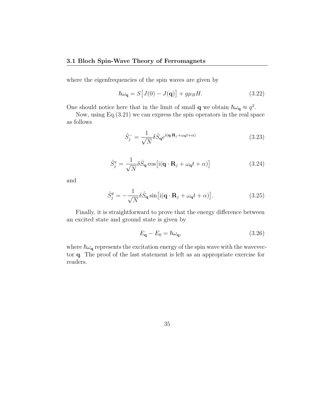#### **3.1 Bloch Spin-Wave Theory of Ferromagnets**

where the eigenfrequencies of the spin waves are given by

$$
\hbar\omega_{\mathbf{q}} = S[J(0) - J(\mathbf{q})] + g\mu_B H. \tag{3.22}
$$

One should notice here that in the limit of small **q** we obtain  $\hbar\omega_{\mathbf{q}} \approx q^2$ .

Now, using Eq.(3.21) we can express the spin operators in the real space as follows

$$
\hat{S}_j^- = \frac{1}{\sqrt{N}} \delta \hat{S}_{\mathbf{q}} e^{i(\mathbf{q} \cdot \mathbf{R}_j + \omega_{\mathbf{q}} t + \alpha)}
$$
(3.23)

$$
\hat{S}_j^x = \frac{1}{\sqrt{N}} \delta \hat{S}_q \cos \left[ i(\mathbf{q} \cdot \mathbf{R}_j + \omega_q t + \alpha) \right]
$$
 (3.24)

and

$$
\hat{S}_j^y = -\frac{1}{\sqrt{N}} \delta \hat{S}_{\mathbf{q}} \sin \left[ i(\mathbf{q} \cdot \mathbf{R}_j + \omega_{\mathbf{q}} t + \alpha) \right]. \tag{3.25}
$$

Finally, it is straightforward to prove that the energy difference between an excited state and ground state is given by

$$
E_{\mathbf{q}} - E_0 = \hbar \omega_{\mathbf{q}},\tag{3.26}
$$

where  $\hbar\omega_q$  represents the excitation energy of the spin wave with the wavevector **q**. The proof of the last statement is left as an appropriate exercise for readers.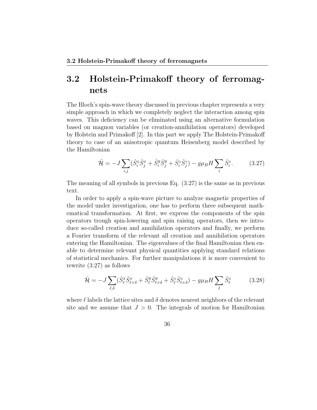The Bloch's spin-wave theory discussed in previous chapter represents a very simple approach in which we completely neglect the interaction among spin waves. This deficiency can be eliminated using an alternative formulation based on magnon variables (or creation-annihilation operators) developed by Holstein and Primakoff [2]. In this part we apply The Holstein-Primakoff theory to case of an anisotropic quantum Heisenberg model described by the Hamiltonian

$$
\hat{\mathcal{H}} = -J \sum_{i,j} (\hat{S}_i^x \hat{S}_j^x + \hat{S}_i^y \hat{S}_j^y + \hat{S}_i^z \hat{S}_j^z) - g\mu_B H \sum_i \hat{S}_i^z.
$$
 (3.27)

The meaning of all symbols in previous Eq. (3.27) is the same as in previous text.

In order to apply a spin-wave picture to analyze magnetic properties of the model under investigation, one has to perform three subsequent mathematical transformation. At first, we express the components of the spin operators trough spin-lowering and spin raising operators, then we introduce so-called creation and annihilation operators and finally, we perform a Fourier transform of the relevant all creation and annihilation operators entering the Hamiltonian. The eigenvalues of the final Hamiltonian then enable to determine relevant physical quantities applying standard relations of statistical mechanics. For further manipulations it is more convenient to rewrite (3.27) as follows

$$
\hat{\mathcal{H}} = -J \sum_{\ell,\delta} (\hat{S}_{\ell}^x \hat{S}_{\ell+\delta}^x + \hat{S}_{\ell}^y \hat{S}_{\ell+\delta}^y + \hat{S}_{\ell}^z \hat{S}_{\ell+\delta}^z) - g\mu_B H \sum_{\ell} \hat{S}_{\ell}^z \tag{3.28}
$$

where  $\ell$  labels the lattice sites and  $\delta$  denotes nearest neighbors of the relevant site and we assume that  $J > 0$ . The integrals of motion for Hamiltonian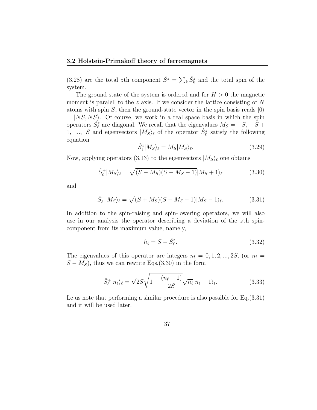(3.28) are the total *z*th component  $\hat{S}^z = \sum_k \hat{S}_k^z$  and the total spin of the system.

The ground state of the system is ordered and for  $H > 0$  the magnetic moment is paralell to the *z* axis. If we consider the lattice consisting of N atoms with spin *S*, then the ground-state vector in the spin basis reads *|*0*⟩*  $=$   $|NS, NS\rangle$ . Of course, we work in a real space basis in which the spin operators  $\hat{S}_{\ell}^{z}$  are diagonal. We recall that the eigenvalues  $M_S = -S, -\overline{S} +$ 1, ..., S and eigenvectors  $|M_S\rangle_\ell$  of the operator  $\hat{S}^z_\ell$  satisfy the following equation

$$
\hat{S}_{\ell}^{z} | M_{S} \rangle_{\ell} = M_{S} | M_{S} \rangle_{\ell}. \tag{3.29}
$$

Now, applying operators (3.13) to the eigenvectors  $|M_S\rangle_\ell$  one obtains

$$
\hat{S}_{\ell}^{+}|M_{S}\rangle_{\ell} = \sqrt{(S-M_{S})(S-M_{S}-1)}|M_{S}+1\rangle_{\ell}
$$
\n(3.30)

and

$$
\hat{S}_{\ell}^{-}|M_{S}\rangle_{\ell} = \sqrt{(S+M_{S})(S-M_{S}-1)}|M_{S}-1\rangle_{\ell}.
$$
\n(3.31)

In addition to the spin-raising and spin-lowering operators, we will also use in our analysis the operator describing a deviation of the *z*th spincomponent from its maximum value, namely,

$$
\hat{n}_{\ell} = S - \hat{S}_{\ell}^{z}.\tag{3.32}
$$

The eigenvalues of this operator are integers  $n_l = 0, 1, 2, ..., 2S$ , (or  $n_l =$  $S - M_S$ , thus we can rewrite Eqs.(3.30) in the form

$$
\hat{S}_{\ell}^{+}|n_{\ell}\rangle_{\ell} = \sqrt{2S}\sqrt{1 - \frac{(n_{\ell} - 1)}{2S}}\sqrt{n_{\ell}}|n_{\ell} - 1\rangle_{\ell}.
$$
\n(3.33)

Le us note that performing a similar procedure is also possible for Eq.(3.31) and it will be used later.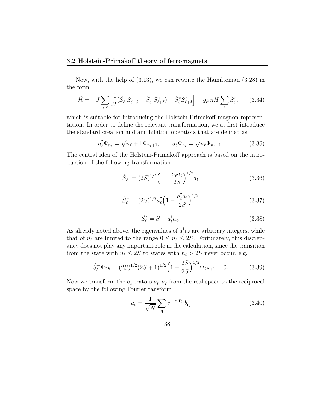Now, with the help of (3.13), we can rewrite the Hamiltonian (3.28) in the form

$$
\hat{\mathcal{H}} = -J \sum_{\ell,\delta} \left[ \frac{1}{2} (\hat{S}_{\ell}^+ \hat{S}_{\ell+\delta}^- + \hat{S}_{\ell}^- \hat{S}_{\ell+\delta}^+) + \hat{S}_{\ell}^z \hat{S}_{\ell+\delta}^z \right] - g\mu_B H \sum_{\ell} \hat{S}_{\ell}^z. \tag{3.34}
$$

which is suitable for introducing the Holstein-Primakoff magnon representation. In order to define the relevant transformation, we at first introduce the standard creation and annihilation operators that are defined as

$$
a_{\ell}^{\dagger} \Psi_{n_{\ell}} = \sqrt{n_{\ell} + 1} \Psi_{n_{\ell}+1}, \qquad a_{\ell} \Psi_{n_{\ell}} = \sqrt{n_{\ell}} \Psi_{n_{\ell}-1}.
$$
 (3.35)

The central idea of the Holstein-Primakoff approach is based on the introduction of the following transformation

$$
\hat{S}_{\ell}^{+} = (2S)^{1/2} \left( 1 - \frac{a_{\ell}^{\dagger} a_{\ell}}{2S} \right)^{1/2} a_{\ell} \tag{3.36}
$$

$$
\hat{S}_{\ell}^{-} = (2S)^{1/2} a_{\ell}^{\dagger} \left( 1 - \frac{a_{\ell}^{\dagger} a_{\ell}}{2S} \right)^{1/2}
$$
\n(3.37)

$$
\hat{S}_{\ell}^{z} = S - a_{\ell}^{\dagger} a_{\ell}.
$$
\n(3.38)

As already noted above, the eigenvalues of  $a_{\ell}^{\dagger}a_{\ell}$  are arbitrary integers, while that of  $\hat{n}_{\ell}$  are limited to the range  $0 \leq n_{\ell} \leq 2S$ . Fortunately, this discrepancy does not play any important role in the calculation, since the transition from the state with  $n_{\ell} \leq 2S$  to states with  $n_{\ell} > 2S$  never occur, e.g.

$$
\hat{S}_{\ell}^{-} \Psi_{2S} = (2S)^{1/2} (2S+1)^{1/2} \left(1 - \frac{2S}{2S}\right)^{1/2} \Psi_{2S+1} = 0. \tag{3.39}
$$

Now we transform the operators  $a_{\ell}, a_{\ell}^{\dagger}$  from the real space to the reciprocal space by the following Fourier tansform

$$
a_{\ell} = \frac{1}{\sqrt{N}} \sum_{\mathbf{q}} e^{-i\mathbf{q} \cdot \mathbf{R}_{\ell}} b_{\mathbf{q}}
$$
 (3.40)

$$
38 \\
$$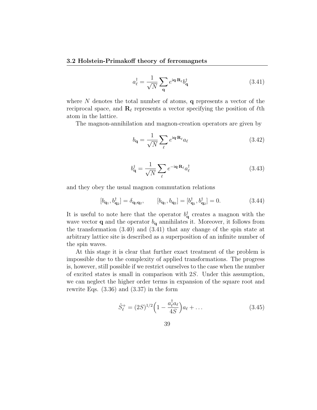$$
a_{\ell}^{\dagger} = \frac{1}{\sqrt{N}} \sum_{\mathbf{q}} e^{i\mathbf{q} \cdot \mathbf{R}_{\ell}} b_{\mathbf{q}}^{\dagger}
$$
 (3.41)

where *N* denotes the total number of atoms, **q** represents a vector of the reciprocal space, and **R***<sup>ℓ</sup>* represents a vector specifying the position of *ℓ*th atom in the lattice.

The magnon-annihilation and magnon-creation operators are given by

$$
b_{\mathbf{q}} = \frac{1}{\sqrt{N}} \sum_{\ell} e^{i\mathbf{q} \cdot \mathbf{R}_{\ell}} a_{\ell} \tag{3.42}
$$

$$
b_{\mathbf{q}}^{\dagger} = \frac{1}{\sqrt{N}} \sum_{\ell} e^{-i\mathbf{q} \cdot \mathbf{R}_{\ell}} a_{\ell}^{\dagger}
$$
 (3.43)

and they obey the usual magnon commutation relations

$$
[b_{\mathbf{q}_1}, b_{\mathbf{q}_2}^{\dagger}] = \delta_{\mathbf{q}_1 \mathbf{q}_2}, \qquad [b_{\mathbf{q}_1}, b_{\mathbf{q}_2}] = [b_{\mathbf{q}_1}^{\dagger}, b_{\mathbf{q}_2}^{\dagger}] = 0.
$$
 (3.44)

It is useful to note here that the operator  $b_{\mathbf{q}}^{\dagger}$  creates a magnon with the wave vector **q** and the operator  $b_{\mathbf{q}}$  annihilates it. Moreover, it follows from the transformation (3.40) and (3.41) that any change of the spin state at arbitrary lattice site is described as a superposition of an infinite number of the spin waves.

At this stage it is clear that further exact treatment of the problem is impossible due to the complexity of applied transformations. The progress is, however, still possible if we restrict ourselves to the case when the number of excited states is small in comparison with 2*S*. Under this assumption, we can neglect the higher order terms in expansion of the square root and rewrite Eqs. (3.36) and (3.37) in the form

$$
\hat{S}_{\ell}^{+} = (2S)^{1/2} \left( 1 - \frac{a_{\ell}^{\dagger} a_{\ell}}{4S} \right) a_{\ell} + \dots \tag{3.45}
$$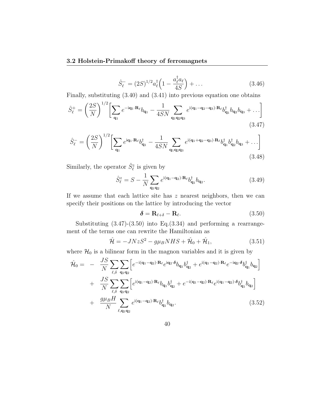$$
\hat{S}_{\ell}^{-} = (2S)^{1/2} a_{\ell}^{\dagger} \left( 1 - \frac{a_{\ell}^{\dagger} a_{\ell}}{4S} \right) + \dots \tag{3.46}
$$

Finally, substituting (3.40) and (3.41) into previous equation one obtains

$$
\hat{S}_{\ell}^{+} = \left(\frac{2S}{N}\right)^{1/2} \left[\sum_{\mathbf{q}_{1}} e^{-i\mathbf{q}_{1}\cdot\mathbf{R}_{\ell}} b_{\mathbf{q}_{1}} - \frac{1}{4SN} \sum_{\mathbf{q}_{1}\mathbf{q}_{2}\mathbf{q}_{3}} e^{i(\mathbf{q}_{1}-\mathbf{q}_{2}-\mathbf{q}_{3})\cdot\mathbf{R}_{\ell}} b_{\mathbf{q}_{1}}^{\dagger} b_{\mathbf{q}_{2}} b_{\mathbf{q}_{3}} + \ldots\right]
$$
\n(3.47)

$$
\hat{S}_{\ell}^{-} = \left(\frac{2S}{N}\right)^{1/2} \left[\sum_{\mathbf{q}_1} e^{i\mathbf{q}_1 \cdot \mathbf{R}_{\ell}} b_{\mathbf{q}_1}^{\dagger} - \frac{1}{4SN} \sum_{\mathbf{q}_1 \mathbf{q}_2 \mathbf{q}_3} e^{i(\mathbf{q}_1 + \mathbf{q}_2 - \mathbf{q}_3) \cdot \mathbf{R}_{\ell}} b_{\mathbf{q}_1}^{\dagger} b_{\mathbf{q}_2}^{\dagger} b_{\mathbf{q}_3} + \dots\right]
$$
\n(3.48)

Similarly, the operator  $\hat{S}^z_{\ell}$  is given by

$$
\hat{S}_{\ell}^{z} = S - \frac{1}{N} \sum_{\mathbf{q}_1 \mathbf{q}_2} e^{i(\mathbf{q}_1 - \mathbf{q}_2) \cdot \mathbf{R}_{\ell}} b_{\mathbf{q}_1}^{\dagger} b_{\mathbf{q}_2}.
$$
 (3.49)

If we assume that each lattice site has *z* nearest neighbors, then we can specify their positions on the lattice by introducing the vector

$$
\delta = \mathbf{R}_{\ell+\delta} - \mathbf{R}_{\ell}.\tag{3.50}
$$

Substituting  $(3.47)-(3.50)$  into Eq. $(3.34)$  and performing a rearrangement of the terms one can rewrite the Hamiltonian as

$$
\hat{\mathcal{H}} = -JNzS^2 - g\mu_B NHS + \hat{\mathcal{H}}_0 + \hat{\mathcal{H}}_1,\tag{3.51}
$$

where  $\mathcal{H}_0$  is a bilinear form in the magnon variables and it is given by

$$
\hat{\mathcal{H}}_0 = -\frac{JS}{N} \sum_{\ell, \delta} \sum_{\mathbf{q}_1 \mathbf{q}_2} \left[ e^{-i(\mathbf{q}_1 - \mathbf{q}_2) \cdot \mathbf{R}_{\ell}} e^{i\mathbf{q}_2 \cdot \delta} b_{\mathbf{q}_1} b_{\mathbf{q}_2}^{\dagger} + e^{i(\mathbf{q}_1 - \mathbf{q}_2) \cdot \mathbf{R}_{\ell}} e^{-i\mathbf{q}_2 \cdot \delta} b_{\mathbf{q}_1}^{\dagger} b_{\mathbf{q}_2} \right] \n+ \frac{JS}{N} \sum_{\ell, \delta} \sum_{\mathbf{q}_1 \mathbf{q}_2} \left[ e^{i(\mathbf{q}_1 - \mathbf{q}_2) \cdot \mathbf{R}_{\ell}} b_{\mathbf{q}_1} b_{\mathbf{q}_2}^{\dagger} + e^{-i(\mathbf{q}_1 - \mathbf{q}_2) \cdot \mathbf{R}_{\ell}} e^{i(\mathbf{q}_1 - \mathbf{q}_2) \cdot \delta} b_{\mathbf{q}_1}^{\dagger} b_{\mathbf{q}_2} \right] \n+ \frac{g \mu_B H}{N} \sum_{\ell, \mathbf{q}_1 \mathbf{q}_2} e^{i(\mathbf{q}_1 - \mathbf{q}_2) \cdot \mathbf{R}_{\ell}} b_{\mathbf{q}_1}^{\dagger} b_{\mathbf{q}_2}.
$$
\n(3.52)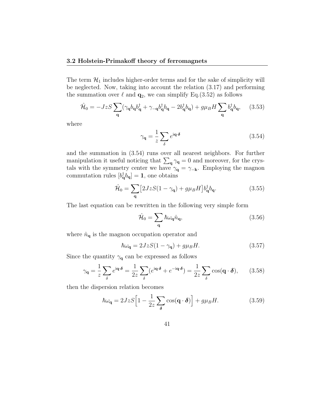The term  $\mathcal{H}_1$  includes higher-order terms and for the sake of simplicity will be neglected. Now, taking into account the relation (3.17) and performing the summation over  $\ell$  and  $\mathbf{q}_2$ , we can simplify Eq.(3.52) as follows

$$
\hat{\mathcal{H}}_0 = -JzS\sum_{\mathbf{q}} (\gamma_{\mathbf{q}}b_{\mathbf{q}}b_{\mathbf{q}}^{\dagger} + \gamma_{-\mathbf{q}}b_{\mathbf{q}}^{\dagger}b_{\mathbf{q}} - 2b_{\mathbf{q}}^{\dagger}b_{\mathbf{q}}) + g\mu_B H \sum_{\mathbf{q}} b_{\mathbf{q}}^{\dagger}b_{\mathbf{q}}, \quad (3.53)
$$

where

$$
\gamma_{\mathbf{q}} = \frac{1}{z} \sum_{\delta} e^{i\mathbf{q} \cdot \delta} \tag{3.54}
$$

and the summation in (3.54) runs over all nearest neighbors. For further manipulation it useful noticing that  $\sum_{\mathbf{q}} \gamma_{\mathbf{q}} = 0$  and moreover, for the crystals with the symmetry center we have  $\gamma_{\mathbf{q}} = \gamma_{-\mathbf{k}}$ . Employing the magnon commutation rules  $[b_q^{\dagger} b_q] = 1$ , one obtains

$$
\hat{\mathcal{H}}_0 = \sum_{\mathbf{q}} \left[ 2JzS(1 - \gamma_{\mathbf{q}}) + g\mu_B H \right] b_{\mathbf{q}}^\dagger b_{\mathbf{q}}.
$$
\n(3.55)

The last equation can be rewritten in the following very simple form

$$
\hat{\mathcal{H}}_0 = \sum_{\mathbf{q}} \hbar \omega_{\mathbf{q}} \hat{n}_{\mathbf{q}},\tag{3.56}
$$

where  $\hat{n}_{\mathbf{q}}$  is the magnon occupation operator and

$$
\hbar\omega_{\mathbf{q}} = 2JzS(1 - \gamma_{\mathbf{q}}) + g\mu_B H. \tag{3.57}
$$

Since the quantity  $\gamma_{\mathbf{q}}$  can be expressed as follows

$$
\gamma_{\mathbf{q}} = \frac{1}{z} \sum_{\delta} e^{i\mathbf{q} \cdot \delta} = \frac{1}{2z} \sum_{\delta} (e^{i\mathbf{q} \cdot \delta} + e^{-i\mathbf{q} \cdot \delta}) = \frac{1}{2z} \sum_{\delta} \cos(\mathbf{q} \cdot \delta), \qquad (3.58)
$$

then the dispersion relation becomes

$$
\hbar\omega_{\mathbf{q}} = 2JzS\Big[1 - \frac{1}{2z}\sum_{\delta}\cos(\mathbf{q} \cdot \boldsymbol{\delta})\Big] + g\mu_B H. \tag{3.59}
$$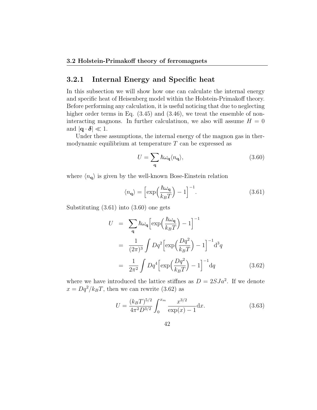### **3.2.1 Internal Energy and Specific heat**

In this subsection we will show how one can calculate the internal energy and specific heat of Heisenberg model within the Holstein-Primakoff theory. Before performing any calculation, it is useful noticing that due to neglecting higher order terms in Eq.  $(3.45)$  and  $(3.46)$ , we treat the ensemble of noninteracting magnons. In further calculatiuon, we also will assume  $H = 0$ and  $|\mathbf{q} \cdot \mathbf{\delta}| \ll 1$ .

Under these assumptions, the internal energy of the magnon gas in thermodynamic equilibrium at temperature *T* can be expressed as

$$
U = \sum_{\mathbf{q}} \hbar \omega_{\mathbf{q}} \langle n_{\mathbf{q}} \rangle, \tag{3.60}
$$

where  $\langle n_{\mathbf{q}} \rangle$  is given by the well-known Bose-Einstein relation

$$
\langle n_{\mathbf{q}} \rangle = \left[ \exp\left(\frac{\hbar \omega_{\mathbf{q}}}{k_B T}\right) - 1 \right]^{-1}.
$$
 (3.61)

Substituting (3.61) into (3.60) one gets

$$
U = \sum_{\mathbf{q}} \hbar \omega_{\mathbf{q}} \left[ \exp\left(\frac{\hbar \omega_{\mathbf{q}}}{k_B T}\right) - 1 \right]^{-1}
$$
  

$$
= \frac{1}{(2\pi)^3} \int Dq^2 \left[ \exp\left(\frac{Dq^2}{k_B T}\right) - 1 \right]^{-1} d^3q
$$
  

$$
= \frac{1}{2\pi^2} \int Dq^4 \left[ \exp\left(\frac{Dq^2}{k_B T}\right) - 1 \right]^{-1} dq
$$
(3.62)

where we have introduced the lattice stiffnes as  $D = 2SJa^2$ . If we denote  $x = Dq^2/k_BT$ , then we can rewrite (3.62) as

$$
U = \frac{(k_B T)^{5/2}}{4\pi^2 D^{3/2}} \int_0^{x_m} \frac{x^{3/2}}{\exp(x) - 1} \, \mathrm{d}x. \tag{3.63}
$$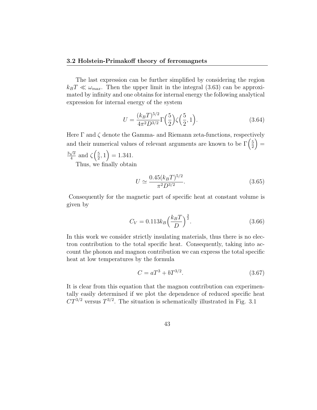The last expression can be further simplified by considering the region  $k_B T \ll \omega_{max}$ . Then the upper limit in the integral (3.63) can be approximated by infinity and one obtains for internal energy the following analytical expression for internal energy of the system

$$
U = \frac{(k_B T)^{5/2}}{4\pi^2 D^{3/2}} \Gamma\left(\frac{5}{2}\right) \zeta\left(\frac{5}{2}, 1\right). \tag{3.64}
$$

Here Γ and *ζ* denote the Gamma- and Riemann zeta-functions, respectively and their numerical values of relevant arguments are known to be  $\Gamma\left(\frac{5}{2}\right)$  $\frac{5}{2}$   $\Big) =$ 

3 *√ π*  $\frac{\sqrt{\pi}}{4}$  and  $\zeta$   $\left(\frac{5}{2}\right)$  $(\frac{5}{2}, 1) = 1.341.$ 

Thus, we finally obtain

$$
U \simeq \frac{0.45(k_B T)^{5/2}}{\pi^2 D^{3/2}}.\tag{3.65}
$$

Consequently for the magnetic part of specific heat at constant volume is given by

$$
C_V = 0.113 k_B \left(\frac{k_B T}{D}\right)^{\frac{3}{2}}.
$$
\n(3.66)

In this work we consider strictly insulating materials, thus there is no electron contribution to the total specific heat. Consequently, taking into account the phonon and magnon contribution we can express the total specific heat at low temperatures by the formula

$$
C = aT^3 + bT^{3/2}.\tag{3.67}
$$

It is clear from this equation that the magnon contribution can experimentally easily determined if we plot the dependence of reduced specific heat  $CT^{3/2}$  versus  $T^{3/2}$ . The situation is schematically illustrated in Fig. 3.1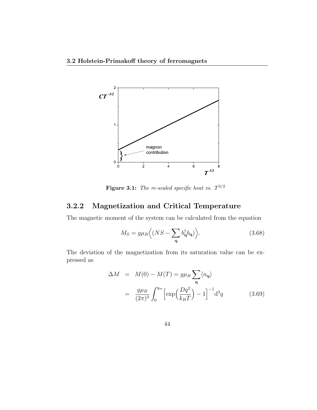

**Figure 3.1:** *The re-scaled specific heat vs. T* 3*/*2

## **3.2.2 Magnetization and Critical Temperature**

The magnetic moment of the system can be calculated from the equation

$$
M_S = g\mu_B \left\langle (NS - \sum_{\mathbf{q}} b_{\mathbf{q}}^{\dagger} b_{\mathbf{q}}) \right\rangle.
$$
 (3.68)

The deviation of the magnetization from its saturation value can be expressed as

$$
\Delta M = M(0) - M(T) = g\mu_B \sum_{\mathbf{q}} \langle n_{\mathbf{q}} \rangle
$$

$$
= \frac{g\mu_B}{(2\pi)^3} \int_0^{q_m} \left[ \exp\left(\frac{Dq^2}{k_B T}\right) - 1 \right]^{-1} d^3 q \qquad (3.69)
$$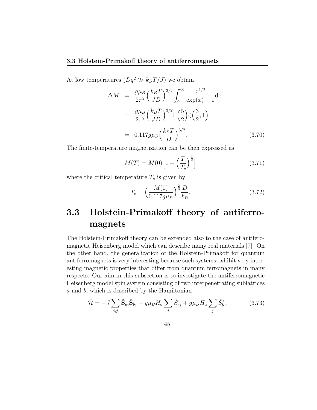At low temperatures  $(Dq^2 \gg k_B T/J)$  we obtain

$$
\Delta M = \frac{g\mu_B}{2\pi^2} \left(\frac{k_B T}{JD}\right)^{3/2} \int_0^\infty \frac{x^{1/2}}{\exp(x) - 1} dx.
$$
  
\n
$$
= \frac{g\mu_B}{2\pi^2} \left(\frac{k_B T}{JD}\right)^{3/2} \Gamma\left(\frac{5}{2}\right) \zeta\left(\frac{3}{2}, 1\right)
$$
  
\n
$$
= 0.117 g\mu_B \left(\frac{k_B T}{D}\right)^{3/2}.
$$
 (3.70)

The finite-temperature magnetization can be then expressed as

$$
M(T) = M(0) \left[ 1 - \left(\frac{T}{T_c}\right)^{\frac{3}{2}} \right]
$$
 (3.71)

where the critical temperature  $T_c$  is given by

$$
T_c = \left(\frac{M(0)}{0.117g\mu_B}\right)^{\frac{2}{3}} \frac{D}{k_B}.
$$
\n(3.72)

## **3.3 Holstein-Primakoff theory of antiferromagnets**

The Holstein-Primakoff theory can be extended also to the case of antiferomagnetic Heisenberg model which can describe many real materials [7]. On the other hand, the generalization of the Holstein-Primakoff for quantum antiferromagnets is very interesting because such systems exhibit very interesting magnetic properties that differ from quantum ferromagnets in many respects. Our aim in this subsection is to investigate the antiferromagnetic Heisenberg model spin system consisting of two interpenetrating sublattices *a* and *b*, which is described by the Hamiltonian

$$
\hat{\mathcal{H}} = -J \sum_{i,j} \hat{\mathbf{S}}_{ai} \hat{\mathbf{S}}_{bj} - g \mu_B H_a \sum_i \hat{S}_{ai}^z + g \mu_B H_a \sum_j \hat{S}_{bj}^z, \tag{3.73}
$$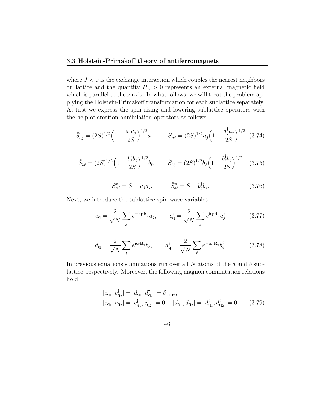where  $J < 0$  is the exchange interaction which couples the nearest neighbors on lattice and the quantity  $H_a > 0$  represents an external magnetic field which is parallel to the *z* axis. In what follows, we will treat the problem applying the Holstein-Primakoff transformation for each sublattice separately. At first we express the spin rising and lowering sublattice operators with the help of creation-annihilation operators as follows

$$
\hat{S}_{aj}^{+} = (2S)^{1/2} \left( 1 - \frac{a_j^{\dagger} a_j}{2S} \right)^{1/2} a_j, \qquad \hat{S}_{aj}^{-} = (2S)^{1/2} a_j^{\dagger} \left( 1 - \frac{a_j^{\dagger} a_j}{2S} \right)^{1/2} \tag{3.74}
$$

$$
\hat{S}_{b\ell}^{+} = (2S)^{1/2} \left( 1 - \frac{b_{\ell}^{\dagger} b_{\ell}}{2S} \right)^{1/2} b_{\ell}, \qquad \hat{S}_{b\ell}^{-} = (2S)^{1/2} b_{\ell}^{\dagger} \left( 1 - \frac{b_{\ell}^{\dagger} b_{\ell}}{2S} \right)^{1/2} \tag{3.75}
$$

$$
\hat{S}_{aj}^{z} = S - a_{j}^{\dagger} a_{j}, \qquad -\hat{S}_{b\ell}^{z} = S - b_{\ell}^{\dagger} b_{\ell}.
$$
 (3.76)

Next, we introduce the sublattice spin-wave variables

$$
c_{\mathbf{q}} = \frac{2}{\sqrt{N}} \sum_{j} e^{-i\mathbf{q} \cdot \mathbf{R}_{j}} a_{j}, \qquad c_{\mathbf{q}}^{\dagger} = \frac{2}{\sqrt{N}} \sum_{j} e^{i\mathbf{q} \cdot \mathbf{R}_{j}} a_{j}^{\dagger}
$$
(3.77)

$$
d_{\mathbf{q}} = \frac{2}{\sqrt{N}} \sum_{\ell} e^{i\mathbf{q} \cdot \mathbf{R}_{\ell}} b_{\ell}, \qquad d_{\mathbf{q}}^{\dagger} = \frac{2}{\sqrt{N}} \sum_{\ell} e^{-i\mathbf{q} \cdot \mathbf{R}_{\ell}} b_{\ell}^{\dagger}.
$$
 (3.78)

In previous equations summations run over all *N* atoms of the *a* and *b* sublattice, respectively. Moreover, the following magnon commutation relations hold

$$
\begin{aligned}\n[c_{\mathbf{q}_1}, c_{\mathbf{q}_2}^{\dagger}] &= [d_{\mathbf{q}_1}, d_{\mathbf{q}_2}^{\dagger}] = \delta_{\mathbf{q}_1 \mathbf{q}_2}, \\
[c_{\mathbf{q}_1}, c_{\mathbf{q}_2}] &= [c_{\mathbf{q}_1}^{\dagger}, c_{\mathbf{q}_2}^{\dagger}] = 0. \quad [d_{\mathbf{q}_1}, d_{\mathbf{q}_2}] = [d_{\mathbf{q}_1}^{\dagger}, d_{\mathbf{q}_2}^{\dagger}] = 0. \quad (3.79)\n\end{aligned}
$$

46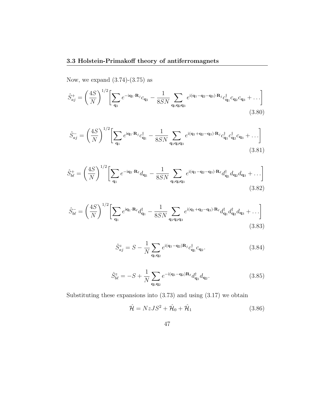Now, we expand  $(3.74)-(3.75)$  as

$$
\hat{S}_{aj}^{+} = \left(\frac{4S}{N}\right)^{1/2} \left[\sum_{\mathbf{q}_1} e^{-i\mathbf{q}_1 \cdot \mathbf{R}_j} c_{\mathbf{q}_1} - \frac{1}{8SN} \sum_{\mathbf{q}_1 \mathbf{q}_2 \mathbf{q}_3} e^{i(\mathbf{q}_1 - \mathbf{q}_2 - \mathbf{q}_3) \cdot \mathbf{R}_j} c_{\mathbf{q}_1}^{\dagger} c_{\mathbf{q}_2} c_{\mathbf{q}_3} + \dots\right]
$$
\n(3.80)

$$
\hat{S}_{aj}^{-} = \left(\frac{4S}{N}\right)^{1/2} \left[\sum_{\mathbf{q}_1} e^{i\mathbf{q}_1 \cdot \mathbf{R}_j} c_{\mathbf{q}_1}^{\dagger} - \frac{1}{8SN} \sum_{\mathbf{q}_1 \mathbf{q}_2 \mathbf{q}_3} e^{i(\mathbf{q}_1 + \mathbf{q}_2 - \mathbf{q}_3) \cdot \mathbf{R}_j} c_{\mathbf{q}_1}^{\dagger} c_{\mathbf{q}_2}^{\dagger} c_{\mathbf{q}_3} + \dots\right]
$$
\n(3.81)

$$
\hat{S}_{b\ell}^{+} = \left(\frac{4S}{N}\right)^{1/2} \left[\sum_{\mathbf{q}_1} e^{-i\mathbf{q}_1 \cdot \mathbf{R}_{\ell}} d_{\mathbf{q}_1} - \frac{1}{8SN} \sum_{\mathbf{q}_1 \mathbf{q}_2 \mathbf{q}_3} e^{i(\mathbf{q}_1 - \mathbf{q}_2 - \mathbf{q}_3) \cdot \mathbf{R}_{\ell}} d_{\mathbf{q}_1}^{\dagger} d_{\mathbf{q}_2} d_{\mathbf{q}_3} + \ldots\right]
$$
\n(3.82)

$$
\hat{S}_{b\ell}^- = \left(\frac{4S}{N}\right)^{1/2} \left[ \sum_{\mathbf{q}_1} e^{i\mathbf{q}_1 \cdot \mathbf{R}_{\ell}} d_{\mathbf{q}_1}^{\dagger} - \frac{1}{8SN} \sum_{\mathbf{q}_1 \mathbf{q}_2 \mathbf{q}_3} e^{i(\mathbf{q}_1 + \mathbf{q}_2 - \mathbf{q}_3) \cdot \mathbf{R}_{\ell}} d_{\mathbf{q}_1}^{\dagger} d_{\mathbf{q}_2}^{\dagger} d_{\mathbf{q}_3} + \ldots \right]
$$
\n(3.83)

$$
\hat{S}_{aj}^{z} = S - \frac{1}{N} \sum_{\mathbf{q}_1 \mathbf{q}_2} e^{i(\mathbf{q}_1 - \mathbf{q}_2)\mathbf{R}_j} c_{\mathbf{q}_1}^{\dagger} c_{\mathbf{q}_2}.
$$
 (3.84)

$$
\hat{S}_{b\ell}^{z} = -S + \frac{1}{N} \sum_{\mathbf{q}_1 \mathbf{q}_2} e^{-i(\mathbf{q}_1 - \mathbf{q}_2)\mathbf{R}_{\ell}} d_{\mathbf{q}_1}^{\dagger} d_{\mathbf{q}_2}.
$$
 (3.85)

Substituting these expansions into  $(3.73)$  and using  $(3.17)$  we obtain

$$
\hat{\mathcal{H}} = NzJS^2 + \hat{\mathcal{H}}_0 + \hat{\mathcal{H}}_1 \tag{3.86}
$$

$$
47\,
$$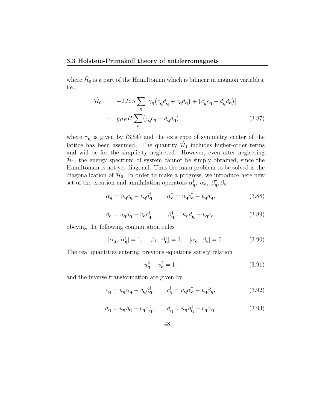where  $\hat{\mathcal{H}}_0$  is a part of the Hamiltonian which is bilinear in magnon variables, i.e.,

$$
\hat{\mathcal{H}}_0 = -2JzS \sum_{\mathbf{q}} \left[ \gamma_{\mathbf{q}} \left( c_{\mathbf{q}}^\dagger d_{\mathbf{q}}^\dagger + c_{\mathbf{q}} d_{\mathbf{q}} \right) + \left( c_{\mathbf{q}}^\dagger c_{\mathbf{q}} + d_{\mathbf{q}}^\dagger d_{\mathbf{q}} \right) \right] \n+ g\mu_B H \sum_{\mathbf{q}} \left( c_{\mathbf{q}}^\dagger c_{\mathbf{q}} - d_{\mathbf{q}}^\dagger d_{\mathbf{q}} \right)
$$
\n(3.87)

where  $\gamma_{q}$  is given by (3.54) and the existence of symmetry center of the lattice has been assumed. The quantity  $\hat{\mathcal{H}}_1$  includes higher-order terms and will be for the simplicity neglected. However, even after neglecting  $\hat{\mathcal{H}}_1$ , the energy spectrum of system cannot be simply obtained, since the Hamiltonian is not yet diagonal. Thus the main problem to be solved is the diagonalization of  $\hat{\mathcal{H}}_0$ . In order to make a progress, we introduce here new set of the creation and annihilation operators  $\alpha_{\bf q}^{\dagger}$ ,  $\alpha_{\bf q}$ ,  $\beta_{\bf q}^{\dagger}$ ,  $\beta_{\bf q}$ 

$$
\alpha_{\mathbf{q}} = u_{\mathbf{q}} c_{\mathbf{q}} - v_{\mathbf{q}} d_{\mathbf{q}}^{\dagger}, \qquad \alpha_{\mathbf{q}}^{\dagger} = u_{\mathbf{q}} c_{\mathbf{q}}^{\dagger} - v_{\mathbf{q}} d_{\mathbf{q}}, \qquad (3.88)
$$

$$
\beta_{\mathbf{q}} = u_{\mathbf{q}} d_{\mathbf{q}} - v_{\mathbf{q}} c_{\mathbf{q}}^{\dagger}, \qquad \beta_{\mathbf{q}}^{\dagger} = u_{\mathbf{q}} d_{\mathbf{q}}^{\dagger} - v_{\mathbf{q}} c_{\mathbf{q}}, \qquad (3.89)
$$

obeying the following commutation rules

$$
[\alpha_{\mathbf{q}}, \alpha_{\mathbf{q}}^{\dagger}] = 1, \quad [\beta_k, \beta_{\mathbf{q}}^{\dagger}] = 1, \quad [\alpha_{\mathbf{q}}, \beta_{\mathbf{q}}] = 0.
$$
 (3.90)

The real quantities entering previous equations satisfy relation

$$
u_{\mathbf{q}}^2 - v_{\mathbf{q}}^2 = 1,\tag{3.91}
$$

and the inverse transformation are given by

$$
c_{\mathbf{q}} = u_{\mathbf{q}} \alpha_{\mathbf{q}} - v_{\mathbf{q}} \beta_{\mathbf{q}}^{\dagger}, \qquad c_{\mathbf{q}}^{\dagger} = u_{\mathbf{q}} \alpha_{\mathbf{q}}^{\dagger} - v_{\mathbf{q}} \beta_{\mathbf{q}}, \qquad (3.92)
$$

$$
d_{\mathbf{q}} = u_{\mathbf{q}} \beta_{\mathbf{q}} - v_{\mathbf{q}} \alpha_{\mathbf{q}}^{\dagger}, \qquad d_{\mathbf{q}}^{\dagger} = u_{\mathbf{q}} \beta_{\mathbf{q}}^{\dagger} - v_{\mathbf{q}} \alpha_{\mathbf{q}}, \qquad (3.93)
$$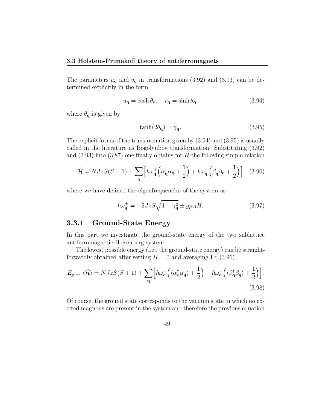The parameters  $u_{\mathbf{q}}$  and  $v_{\mathbf{q}}$  in transformations (3.92) and (3.93) can be determined explicitly in the form

$$
u_{\mathbf{q}} = \cosh \theta_{\mathbf{q}}, \quad v_{\mathbf{q}} = \sinh \theta_{\mathbf{q}}, \tag{3.94}
$$

where  $\theta_{q}$  is given by

$$
\tanh(2\theta_{\mathbf{q}}) = \gamma_{\mathbf{q}}.\tag{3.95}
$$

The explicit forms of the transformation given by (3.94) and (3.95) is usually called in the literature as Bogolyubov transformation. Substituting (3.92) and (3.93) into (3.87) one finally obtains for  $\hat{\mathcal{H}}$  the folloving simple relation

$$
\hat{\mathcal{H}} = NJzS(S+1) + \sum_{\mathbf{q}} \left[ \hbar \omega_{\mathbf{q}}^{+} \left( \alpha_{\mathbf{q}}^{\dagger} \alpha_{\mathbf{q}} + \frac{1}{2} \right) + \hbar \omega_{\mathbf{q}}^{-} \left( \beta_{\mathbf{q}}^{\dagger} \beta_{\mathbf{q}} + \frac{1}{2} \right) \right] \tag{3.96}
$$

where we have defined the eigenfrequencies of the system as

$$
\hbar\omega_{\mathbf{q}}^{\pm} = -2JzS\sqrt{1-\gamma_{\mathbf{q}}^2} \pm g\mu_B H. \tag{3.97}
$$

### **3.3.1 Ground-State Energy**

In this part we investigate the ground-state energy of the two sublattice antiferromagnetic Heisenberg system.

The lowest possible energy (i.e., the ground-state energy) can be straightforwardly obtained after setting  $H = 0$  and averaging Eq.(3.96)

$$
E_g \equiv \langle \hat{\mathcal{H}} \rangle = NJzS(S+1) + \sum_{\mathbf{q}} \Big[ \hbar \omega_{\mathbf{q}}^+ \Big( \langle \alpha_{\mathbf{q}}^\dagger \alpha_{\mathbf{q}} \rangle + \frac{1}{2} \Big) + \hbar \omega_{\mathbf{q}}^- \Big( \langle \beta_{\mathbf{q}}^\dagger \beta_{\mathbf{q}} \rangle + \frac{1}{2} \Big) \Big].
$$
\n(3.98)

Of course, the ground state corresponds to the vacuum state in which no excited magnons are present in the system and therefore the previous equation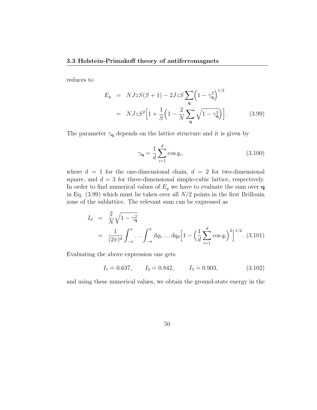reduces to

$$
E_g = NJzS(S+1) - 2JzS\sum_{\mathbf{q}} \left(1 - \gamma_{\mathbf{q}}^2\right)^{1/2}
$$
  
=  $NJzS^2 \Big[1 + \frac{1}{S}\Big(1 - \frac{2}{N}\sum_{\mathbf{q}} \sqrt{1 - \gamma_{\mathbf{q}}^2}\Big)\Big].$  (3.99)

The parameter  $\gamma_{q}$  depends on the lattice structure and it is given by

$$
\gamma_{\mathbf{q}} = \frac{1}{d} \sum_{i=1}^{d} \cos q_i, \qquad (3.100)
$$

where  $d = 1$  for the one-dimensional chain,  $d = 2$  for two-dimensional square, and  $d = 3$  for three-dimensional simple-cubic lattice, respectively. In order to find numerical values of  $E_g$  we have to evaluate the sum over **q** in Eq. (3.99) which must be taken over all *N/*2 points in the first Brillouin zone of the sublattice. The relevant sum can be expressed as

$$
I_d = \frac{2}{N} \sqrt{1 - \gamma_q^2}
$$
  
=  $\frac{1}{(2\pi)^d} \int_{-\pi}^{\pi} \cdots \int_{-\pi}^{\pi} dq_1 \cdots dq_d \left[ 1 - \left( \frac{1}{d} \sum_{i=1}^d \cos q_i \right)^2 \right]^{1/2}$ . (3.101)

Evaluating the above expression one gets

$$
I_1 \doteq 0.637
$$
,  $I_2 \doteq 0.842$ ,  $I_3 \doteq 0.903$ , (3.102)

and using these numerical values, we obtain the ground-state energy in the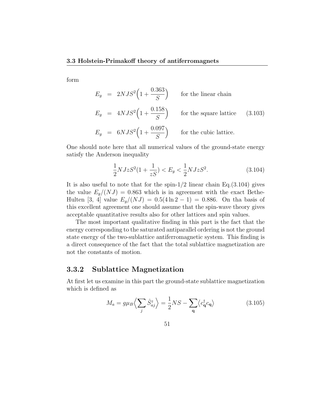form

$$
E_g = 2NJS^2 \left( 1 + \frac{0.363}{S} \right)
$$
 for the linear chain  
\n
$$
E_g = 4NJS^2 \left( 1 + \frac{0.158}{S} \right)
$$
 for the square lattice (3.103)  
\n
$$
E_g = 6NJS^2 \left( 1 + \frac{0.097}{S} \right)
$$
 for the cubic lattice.

One should note here that all numerical values of the ground-state energy satisfy the Anderson inequality

$$
\frac{1}{2}NJzS^2(1+\frac{1}{zS}) < E_g < \frac{1}{2}NJzS^2. \tag{3.104}
$$

It is also useful to note that for the spin-1*/*2 linear chain Eq.(3.104) gives the value  $E_g/(NJ) = 0.863$  which is in agreement with the exact Bethe-Hulten [3, 4] value  $E_q/(NJ) = 0.5(4 \ln 2 - 1) = 0.886$ . On tha basis of this excellent agreement one should assume that the spin-wave theory gives acceptable quantitative results also for other lattices and spin values.

The most important qualitative finding in this part is the fact that the energy corresponding to the saturated antiparallel ordering is not the ground state energy of the two-sublattice antiferromagnetic system. This finding is a direct consequence of the fact that the total sublattice magnetization are not the constants of motion.

#### **3.3.2 Sublattice Magnetization**

At first let us examine in this part the ground-state sublattice magnetization which is defined as

$$
M_a = g\mu_B \left\langle \sum_j \hat{S}_{aj}^z \right\rangle = \frac{1}{2} NS - \sum_{\mathbf{q}} \left\langle c_{\mathbf{q}}^\dagger c_{\mathbf{q}} \right\rangle \tag{3.105}
$$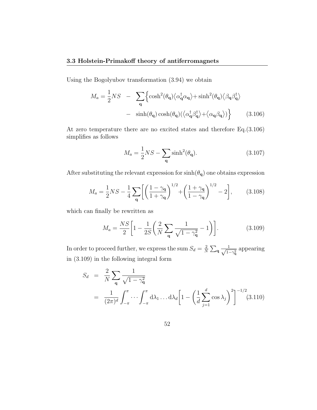Using the Bogolyubov transformation (3.94) we obtain

$$
M_a = \frac{1}{2}NS \quad - \quad \sum_{\mathbf{q}} \left\{ \cosh^2(\theta_{\mathbf{q}}) \langle \alpha_{\mathbf{q}}^{\dagger} \alpha_{\mathbf{q}} \rangle + \sinh^2(\theta_{\mathbf{q}}) \langle \beta_{\mathbf{q}} \beta_{\mathbf{q}}^{\dagger} \rangle \right.
$$

$$
- \quad \sinh(\theta_{\mathbf{q}}) \cosh(\theta_{\mathbf{q}}) (\langle \alpha_{\mathbf{q}}^{\dagger} \beta_{\mathbf{q}}^{\dagger} \rangle + \langle \alpha_{\mathbf{q}} \beta_{\mathbf{q}} \rangle) \right\} \tag{3.106}
$$

At zero temperature there are no excited states and therefore Eq.(3.106) simplifies as follows

$$
M_a = \frac{1}{2}NS - \sum_{\mathbf{q}} \sinh^2(\theta_{\mathbf{q}}). \tag{3.107}
$$

After substituting the relevant expression for  $\sinh(\theta_{\bf q})$  one obtains expression

$$
M_a = \frac{1}{2}NS - \frac{1}{4}\sum_{\mathbf{q}} \left[ \left( \frac{1 - \gamma_{\mathbf{q}}}{1 + \gamma_{\mathbf{q}}} \right)^{1/2} + \left( \frac{1 + \gamma_{\mathbf{q}}}{1 - \gamma_{\mathbf{q}}} \right)^{1/2} - 2 \right],
$$
 (3.108)

which can finally be rewritten as

$$
M_a = \frac{NS}{2} \left[ 1 - \frac{1}{2S} \left( \frac{2}{N} \sum_{\mathbf{q}} \frac{1}{\sqrt{1 - \gamma_{\mathbf{q}}^2}} - 1 \right) \right].
$$
 (3.109)

In order to proceed further, we express the sum  $S_d = \frac{2}{N}$  $\frac{2}{N} \sum_{\bf q} \frac{1}{\sqrt{1-\epsilon}}$  $\frac{1}{1-\gamma_q^2}$  appearing in (3.109) in the following integral form

$$
S_d = \frac{2}{N} \sum_{\mathbf{q}} \frac{1}{\sqrt{1 - \gamma_{\mathbf{q}}^2}}
$$
  
= 
$$
\frac{1}{(2\pi)^d} \int_{-\pi}^{\pi} \cdots \int_{-\pi}^{\pi} d\lambda_1 \dots d\lambda_d \left[ 1 - \left( \frac{1}{d} \sum_{j=1}^d \cos \lambda_j \right)^2 \right]^{-1/2} (3.110)
$$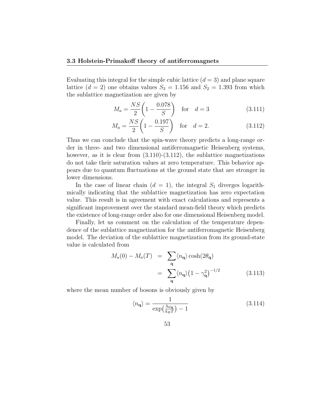Evaluating this integral for the simple cubic lattice  $(d = 3)$  and plane square lattice  $(d = 2)$  one obtains values  $S_3 = 1.156$  and  $S_2 = 1.393$  from which the sublattice magnetization are given by

$$
M_a = \frac{NS}{2} \left( 1 - \frac{0.078}{S} \right) \quad \text{for} \quad d = 3 \tag{3.111}
$$

$$
M_a = \frac{NS}{2} \left( 1 - \frac{0.197}{S} \right) \quad \text{for} \quad d = 2. \tag{3.112}
$$

Thus we can conclude that the spin-wave theory predicts a long-range order in three- and two dimensional antiferromagnetic Heisenberg systems, however, as it is clear from  $(3.110)-(3.112)$ , the sublattice magnetizations do not take their saturation values at zero temperature. This behavior appears due to quantum fluctuations at the ground state that are stronger in lower dimensions.

In the case of linear chain  $(d = 1)$ , the integral  $S_1$  diverges logarithmically indicating that the sublattice magnetization has zero expectation value. This result is in agreement with exact calculations and represents a significant improvement over the standard mean-field theory which predicts the existence of long-range order also for one dimensional Heisenberg model.

Finally, let us comment on the calculation of the temperature dependence of the sublattice magnetization for the antiferromagnetic Heisenberg model. The deviation of the sublattice magnetization from its ground-state value is calculated from

$$
M_a(0) - M_a(T) = \sum_{\mathbf{q}} \langle n_{\mathbf{q}} \rangle \cosh(2\theta_{\mathbf{q}})
$$
  
= 
$$
\sum_{\mathbf{q}} \langle n_{\mathbf{q}} \rangle \left(1 - \gamma_{\mathbf{q}}^2\right)^{-1/2}
$$
(3.113)

where the mean number of bosons is obviously given by

$$
\langle n_{\mathbf{q}} \rangle = \frac{1}{\exp\left(\frac{\hbar \omega_{\mathbf{q}}}{k_B T}\right) - 1} \tag{3.114}
$$

$$
53\,
$$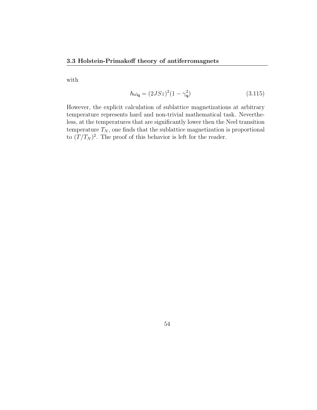with

$$
\hbar\omega_{\mathbf{q}} = (2JSz)^2(1 - \gamma_{\mathbf{q}}^2)
$$
\n(3.115)

However, the explicit calculation of sublattice magnetizations at arbitrary temperature represents hard and non-trivial mathematical task. Nevertheless, at the temperatures that are significantly lower then the Neel transition temperature  $T_N$ , one finds that the sublattice magnetization is proportional to  $(T/T_N)^2$ . The proof of this behavior is left for the reader.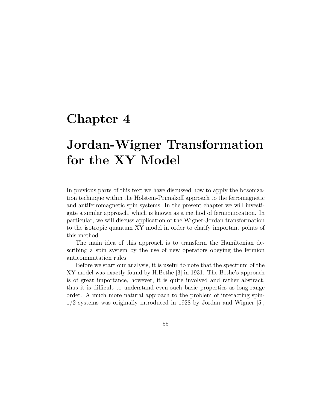## **Chapter 4**

# **Jordan-Wigner Transformation for the XY Model**

In previous parts of this text we have discussed how to apply the bosonization technique within the Holstein-Primakoff approach to the ferromagnetic and antiferromagnetic spin systems. In the present chapter we will investigate a similar approach, which is known as a method of fermioniozation. In particular, we will discuss application of the Wigner-Jordan transformation to the isotropic quantum XY model in order to clarify important points of this method.

The main idea of this approach is to transform the Hamiltonian describing a spin system by the use of new operators obeying the fermion anticommutation rules.

Before we start our analysis, it is useful to note that the spectrum of the XY model was exactly found by H.Bethe [3] in 1931. The Bethe's approach is of great importance, however, it is quite involved and rather abstract, thus it is difficult to understand even such basic properties as long-range order. A much more natural approach to the problem of interacting spin-1/2 systems was originally introduced in 1928 by Jordan and Wigner [5],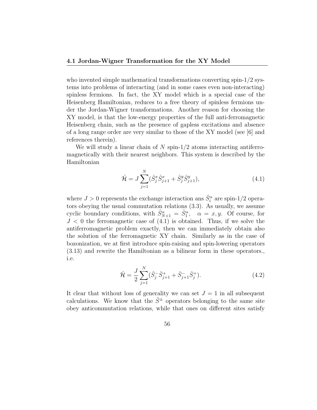who invented simple mathematical transformations converting spin-1/2 systems into problems of interacting (and in some cases even non-interacting) spinless fermions. In fact, the XY model which is a special case of the Heisenberg Hamiltonian, reduces to a free theory of spinless fermions under the Jordan-Wigner transformations. Another reason for choosing the XY model, is that the low-energy properties of the full anti-ferromagnetic Heisenberg chain, such as the presence of gapless excitations and absence of a long range order are very similar to those of the XY model (see [6] and references therein).

We will study a linear chain of *N* spin-1*/*2 atoms interacting antiferromagnetically with their nearest neighbors. This system is described by the Hamiltonian

$$
\hat{\mathcal{H}} = J \sum_{j=1}^{N} (\hat{S}_j^x \hat{S}_{j+1}^x + \hat{S}_j^y \hat{S}_{j+1}^y),
$$
\n(4.1)

where  $J > 0$  represents the exchange interaction ans  $\hat{S}_i^{\alpha}$  are spin-1/2 operators obeying the usual commutation relations (3.3). As usually, we assume cyclic boundary conditions, with  $\hat{S}_{N+1}^{\alpha} = \hat{S}_{1}^{\alpha}$ ,  $\alpha = x, y$ . Of course, for  $J < 0$  the ferromagnetic case of  $(4.1)$  is obtained. Thus, if we solve the antiferromagnetic problem exactly, then we can immediately obtain also the solution of the ferromagnetic XY chain. Similarly as in the case of bozonization, we at first introduce spin-raising and spin-lowering operators (3.13) and rewrite the Hamiltonian as a bilinear form in these operators., i.e.

$$
\hat{\mathcal{H}} = \frac{J}{2} \sum_{j=1}^{N} (\hat{S}_{j}^{-} \hat{S}_{j+1}^{+} + \hat{S}_{j+1}^{-} \hat{S}_{j}^{+}). \tag{4.2}
$$

It clear that without loss of generality we can set  $J = 1$  in all subsequent calculations. We know that the  $\hat{S}^{\pm}$  operators belonging to the same site obey anticommutation relations, while that ones on different sites satisfy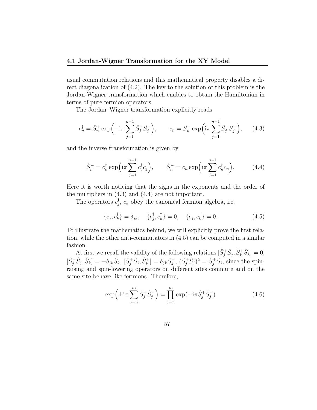#### **4.1 Jordan-Wigner Transformation for the XY Model**

usual commutation relations and this mathematical property disables a direct diagonalization of (4.2). The key to the solution of this problem is the Jordan-Wigner transformation which enables to obtain the Hamiltonian in terms of pure fermion operators.

The Jordan–Wigner transformation explicitly reads

$$
c_n^{\dagger} = \hat{S}_n^+ \exp\left(-i\pi \sum_{j=1}^{n-1} \hat{S}_j^+ \hat{S}_j^- \right), \qquad c_n = \hat{S}_n^- \exp\left(i\pi \sum_{j=1}^{n-1} \hat{S}_j^+ \hat{S}_j^- \right), \qquad (4.3)
$$

and the inverse transformation is given by

$$
\hat{S}_n^+ = c_n^{\dagger} \exp\left(i\pi \sum_{j=1}^{n-1} c_j^{\dagger} c_j\right), \qquad \hat{S}_n^- = c_n \exp\left(i\pi \sum_{j=1}^{n-1} c_n^{\dagger} c_n\right). \tag{4.4}
$$

Here it is worth noticing that the signs in the exponents and the order of the multipliers in (4.3) and (4.4) are not important.

The operators  $c_j^{\dagger}$ ,  $c_k$  obey the canonical fermion algebra, i.e.

$$
\{c_j, c_k^{\dagger}\} = \delta_{jk}, \quad \{c_j^{\dagger}, c_k^{\dagger}\} = 0, \quad \{c_j, c_k\} = 0.
$$
 (4.5)

To illustrate the mathematics behind, we will explicitly prove the first relation, while the other anti-commutators in (4.5) can be computed in a similar fashion.

At first we recall the validity of the following relations  $[\hat{S}_j^+ \hat{S}_j, \hat{S}_k^+ \hat{S}_k] = 0$ ,  $[\hat{S}_j^+ \hat{S}_j, \hat{S}_k] = -\delta_{jk} \hat{S}_k$ ,  $[\hat{S}_j^+ \hat{S}_j, \hat{S}_k^+] = \delta_{jk} \hat{S}_k^+$ ,  $(\hat{S}_j^+ \hat{S}_j)^2 = \hat{S}_j^+ \hat{S}_j$ , since the spinraising and spin-lowering operators on different sites commute and on the same site behave like fermions. Therefore,

$$
\exp\left(\pm i\pi \sum_{j=n}^{m} \hat{S}_{j}^{+} \hat{S}_{j}^{-}\right) = \prod_{j=n}^{m} \exp(\pm i\pi \hat{S}_{j}^{+} \hat{S}_{j}^{-})
$$
\n(4.6)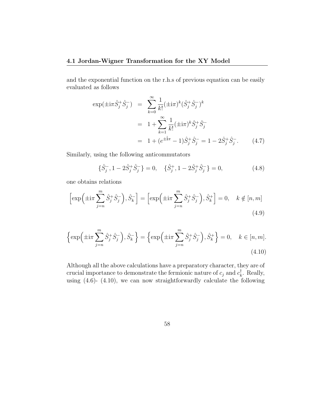#### **4.1 Jordan-Wigner Transformation for the XY Model**

and the exponential function on the r.h.s of previous equation can be easily evaluated as follows

$$
\exp(\pm i\pi \hat{S}_j^+ \hat{S}_j^-) = \sum_{k=0}^{\infty} \frac{1}{k!} (\pm i\pi)^k (\hat{S}_j^+ \hat{S}_j^-)^k
$$
  
=  $1 + \sum_{k=1}^{\infty} \frac{1}{k!} (\pm i\pi)^k \hat{S}_j^+ \hat{S}_j^-$   
=  $1 + (e^{\pm i\pi} - 1) \hat{S}_j^+ \hat{S}_j^- = 1 - 2 \hat{S}_j^+ \hat{S}_j^-.$  (4.7)

Similarly, using the following anticommutators

$$
\{\hat{S}_j^-, 1 - 2\hat{S}_j^+ \hat{S}_j^- \} = 0, \quad \{\hat{S}_j^+, 1 - 2\hat{S}_j^+ \hat{S}_j^- \} = 0,\tag{4.8}
$$

one obtains relations

$$
\left[\exp\left(\pm i\pi \sum_{j=n}^{m} \hat{S}_{j}^{+} \hat{S}_{j}^{-}\right), \hat{S}_{k}^{-}\right] = \left[\exp\left(\pm i\pi \sum_{j=n}^{m} \hat{S}_{j}^{+} \hat{S}_{j}^{-}\right), \hat{S}_{k}^{+}\right] = 0, \quad k \notin [n, m]
$$
\n(4.9)

$$
\left\{\exp\left(\pm i\pi \sum_{j=n}^{m} \hat{S}_{j}^{+} \hat{S}_{j}^{-}\right), \hat{S}_{k}^{-}\right\} = \left\{\exp\left(\pm i\pi \sum_{j=n}^{m} \hat{S}_{j}^{+} \hat{S}_{j}^{-}\right), \hat{S}_{k}^{+}\right\} = 0, \quad k \in [n, m].
$$
\n(4.10)

Although all the above calculations have a preparatory character, they are of crucial importance to demonstrate the fermionic nature of  $c_j$  and  $c_k^{\dagger}$ . Really, using (4.6)- (4.10), we can now straightforwardly calculate the following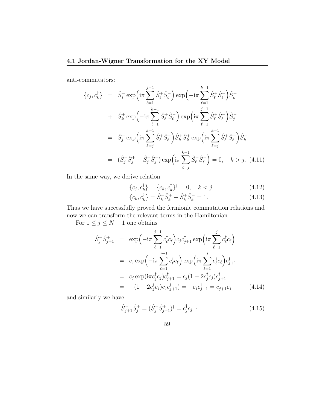anti-commutators:

$$
\{c_j, c_k^{\dagger}\} = \hat{S}_j^{-} \exp\left(i\pi \sum_{\ell=1}^{j-1} \hat{S}_\ell^{+} \hat{S}_\ell^{-}\right) \exp\left(-i\pi \sum_{\ell=1}^{k-1} \hat{S}_\ell^{+} \hat{S}_\ell^{-}\right) \hat{S}_k^{+} + \hat{S}_k^{+} \exp\left(-i\pi \sum_{\ell=1}^{k-1} \hat{S}_\ell^{+} \hat{S}_\ell^{-}\right) \exp\left(i\pi \sum_{\ell=1}^{j-1} \hat{S}_\ell^{+} \hat{S}_\ell^{-}\right) \hat{S}_j^{-} = \hat{S}_j^{-} \exp\left(i\pi \sum_{\ell=j}^{k-1} \hat{S}_\ell^{+} \hat{S}_\ell^{-}\right) \hat{S}_k^{+} \hat{S}_k^{+} \exp\left(i\pi \sum_{\ell=j}^{k-1} \hat{S}_\ell^{+} \hat{S}_\ell^{-}\right) \hat{S}_k^{-} = (\hat{S}_j^{-} \hat{S}_j^{+} - \hat{S}_j^{+} \hat{S}_j^{-}) \exp\left(i\pi \sum_{\ell=j}^{k-1} \hat{S}_\ell^{+} \hat{S}_\ell^{-}\right) = 0, \quad k > j. \tag{4.11}
$$

In the same way, we derive relation

$$
\{c_j, c_k^{\dagger}\} = \{c_k, c_k^{\dagger}\}^{\dagger} = 0, \quad k < j \tag{4.12}
$$

$$
\{c_k, c_k^{\dagger}\} = \hat{S}_k^{-} \hat{S}_k^{+} + \hat{S}_k^{+} \hat{S}_k^{-} = 1.
$$
 (4.13)

Thus we have successfully proved the fermionic commutation relations and now we can transform the relevant terms in the Hamiltonian

For  $1 \leq j \leq N-1$  one obtains

$$
\hat{S}_j^{-} \hat{S}_{j+1}^{+} = \exp\left(-i\pi \sum_{\ell=1}^{j-1} c_{\ell}^{\dagger} c_{\ell}\right) c_j c_{j+1}^{\dagger} \exp\left(i\pi \sum_{\ell=1}^{j} c_{\ell}^{\dagger} c_{\ell}\right)
$$
  
\n
$$
= c_j \exp\left(-i\pi \sum_{\ell=1}^{j-1} c_{\ell}^{\dagger} c_{\ell}\right) \exp\left(i\pi \sum_{\ell=1}^{j} c_{\ell}^{\dagger} c_{\ell}\right) c_{j+1}^{\dagger}
$$
  
\n
$$
= c_j \exp(i\pi c_j^{\dagger} c_j) c_{j+1}^{\dagger} = c_j (1 - 2c_j^{\dagger} c_j) c_{j+1}^{\dagger}
$$
  
\n
$$
= -(1 - 2c_j^{\dagger} c_j) c_j c_{j+1}^{\dagger}) = -c_j c_{j+1}^{\dagger} = c_{j+1}^{\dagger} c_j \qquad (4.14)
$$

and similarly we have

$$
\hat{S}_{j+1}^{-}\hat{S}_{j}^{+} = (\hat{S}_{j}^{-}\hat{S}_{j+1}^{+})^{\dagger} = c_{j}^{\dagger}c_{j+1}.
$$
\n(4.15)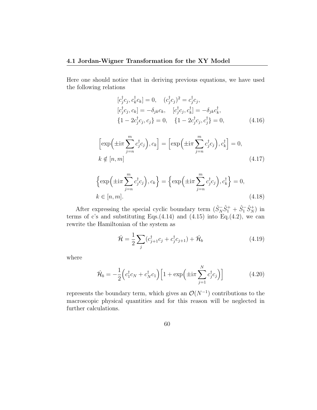Here one should notice that in deriving previous equations, we have used the following relations

$$
[c_j^{\dagger}c_j, c_k^{\dagger}c_k] = 0, \quad (c_j^{\dagger}c_j)^2 = c_j^{\dagger}c_j, [c_j^{\dagger}c_j, c_k] = -\delta_{jk}c_k, \quad [c_j^{\dagger}c_j, c_k^{\dagger}] = -\delta_{jk}c_k^{\dagger}, {1 - 2c_j^{\dagger}c_j, c_j} = 0, \quad {1 - 2c_j^{\dagger}c_j, c_j^{\dagger}} = 0,
$$
\n(4.16)

$$
\left[\exp\left(\pm i\pi \sum_{j=n}^{m} c_j^{\dagger} c_j\right), c_k\right] = \left[\exp\left(\pm i\pi \sum_{j=n}^{m} c_j^{\dagger} c_j\right), c_k^{\dagger}\right] = 0,
$$
\n
$$
k \notin [n, m]
$$
\n(4.17)

$$
\left\{\exp\left(\pm i\pi \sum_{j=n}^{m} c_j^{\dagger} c_j\right), c_k\right\} = \left\{\exp\left(\pm i\pi \sum_{j=n}^{m} c_j^{\dagger} c_j\right), c_k^{\dagger}\right\} = 0,
$$
\n
$$
k \in [n, m].
$$
\n(4.18)

After expressing the special cyclic boundary term  $(\hat{S}_N^- \hat{S}_1^+ + \hat{S}_1^- \hat{S}_N^+)$  in terms of c's and substituting Eqs. $(4.14)$  and  $(4.15)$  into Eq. $(4.2)$ , we can rewrite the Hamiltonian of the system as

$$
\hat{\mathcal{H}} = \frac{1}{2} \sum_{j} (c_{j+1}^{\dagger} c_j + c_j^{\dagger} c_{j+1}) + \hat{\mathcal{H}}_b \tag{4.19}
$$

where

$$
\hat{\mathcal{H}}_b = -\frac{1}{2} \left( c_1^\dagger c_N + c_N^\dagger c_1 \right) \left[ 1 + \exp\left( \pm i\pi \sum_{j=1}^N c_j^\dagger c_j \right) \right] \tag{4.20}
$$

represents the boundary term, which gives an  $\mathcal{O}(N^{-1})$  contributions to the macroscopic physical quantities and for this reason will be neglected in further calculations.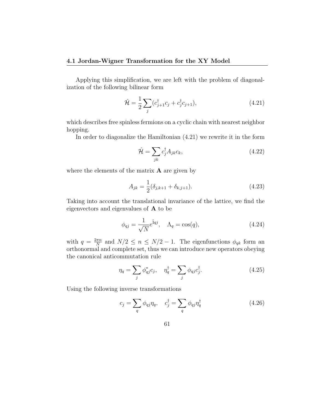#### **4.1 Jordan-Wigner Transformation for the XY Model**

Applying this simplification, we are left with the problem of diagonalization of the following bilinear form

$$
\hat{\mathcal{H}} = \frac{1}{2} \sum_{j} (c_{j+1}^{\dagger} c_j + c_j^{\dagger} c_{j+1}),
$$
\n(4.21)

which describes free spinless fermions on a cyclic chain with nearest neighbor hopping.

In order to diagonalize the Hamiltonian (4.21) we rewrite it in the form

$$
\hat{\mathcal{H}} = \sum_{jk} c_j^{\dagger} A_{jk} c_k, \tag{4.22}
$$

where the elements of the matrix **A** are given by

$$
A_{jk} = \frac{1}{2}(\delta_{j,k+1} + \delta_{k,j+1}).
$$
\n(4.23)

Taking into account the translational invariance of the lattice, we find the eigenvectors and eigenvalues of **A** to be

$$
\phi_{qj} = \frac{1}{\sqrt{N}} e^{\mathbf{i}qj}, \quad \Lambda_q = \cos(q), \tag{4.24}
$$

with  $q = \frac{2\pi n}{N}$  $\frac{m\pi n}{N}$  and  $N/2 \leq n \leq N/2 - 1$ . The eigenfunctions  $\phi_{qk}$  form an orthonormal and complete set, thus we can introduce new operators obeying the canonical anticommutation rule

$$
\eta_q = \sum_j \phi_{qj}^* c_j, \quad \eta_q^\dagger = \sum_j \phi_{qj} c_j^\dagger. \tag{4.25}
$$

Using the following inverse transformations

$$
c_j = \sum_q \phi_{qj} \eta_q, \quad c_j^\dagger = \sum_q \phi_{qj} \eta_q^\dagger \tag{4.26}
$$

61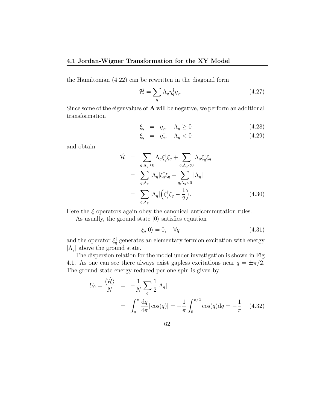#### **4.1 Jordan-Wigner Transformation for the XY Model**

the Hamiltonian (4.22) can be rewritten in the diagonal form

$$
\hat{\mathcal{H}} = \sum_{q} \Lambda_q \eta_q^{\dagger} \eta_q. \tag{4.27}
$$

Since some of the eigenvalues of **A** will be negative, we perform an additional transformation

$$
\xi_q = \eta_q, \quad \Lambda_q \ge 0 \tag{4.28}
$$

$$
\xi_q = \eta_q^{\dagger}, \quad \Lambda_q < 0 \tag{4.29}
$$

and obtain

$$
\hat{\mathcal{H}} = \sum_{q,\Lambda_q \geq 0} \Lambda_q \xi_q^{\dagger} \xi_q + \sum_{q,\Lambda_q < 0} \Lambda_q \xi_q^{\dagger} \xi_q \n= \sum_{q,\Lambda_q} |\Lambda_q| \xi_q^{\dagger} \xi_q - \sum_{q,\Lambda_q < 0} |\Lambda_q| \n= \sum_{q,\Lambda_q} |\Lambda_q| \left( \xi_q^{\dagger} \xi_q - \frac{1}{2} \right).
$$
\n(4.30)

Here the  $\xi$  operators again obey the canonical anticommutation rules.

As usually, the ground state *|*0*⟩* satisfies equation

$$
\xi_q|0\rangle = 0, \quad \forall q \tag{4.31}
$$

and the operator  $\xi_q^{\dagger}$  generates an elementary fermion excitation with energy  $|\Lambda_q|$  above the ground state.

The dispersion relation for the model under investigation is shown in Fig 4.1. As one can see there always exist gapless excitations near  $q = \pm \pi/2$ . The ground state energy reduced per one spin is given by

$$
U_0 = \frac{\langle \hat{\mathcal{H}} \rangle}{N} = -\frac{1}{N} \sum_q \frac{1}{2} |\Lambda_q|
$$
  
= 
$$
\int_{\pi}^{\pi} \frac{dq}{4\pi} |\cos(q)| = -\frac{1}{\pi} \int_{0}^{\pi/2} \cos(q) dq = -\frac{1}{\pi}
$$
 (4.32)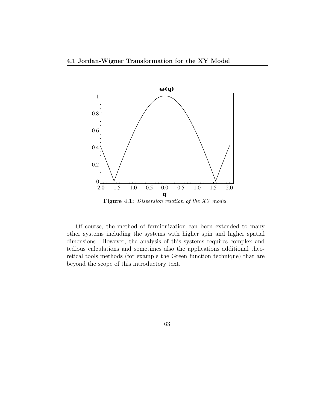

**Figure 4.1:** *Dispersion relation of the XY model.*

Of course, the method of fermionization can been extended to many other systems including the systems with higher spin and higher spatial dimensions. However, the analysis of this systems requires complex and tedious calculations and sometimes also the applications additional theoretical tools methods (for example the Green function technique) that are beyond the scope of this introductory text.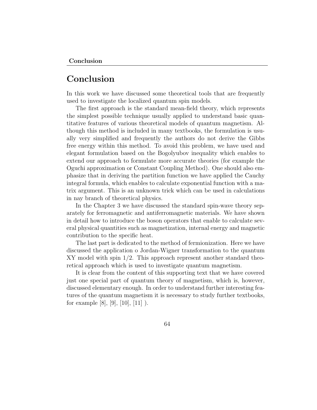## **Conclusion**

In this work we have discussed some theoretical tools that are frequently used to investigate the localized quantum spin models.

The first approach is the standard mean-field theory, which represents the simplest possible technique usually applied to understand basic quantitative features of various theoretical models of quantum magnetism. Although this method is included in many textbooks, the formulation is usually very simplified and frequently the authors do not derive the Gibbs free energy within this method. To avoid this problem, we have used and elegant formulation based on the Bogolyubov inequality which enables to extend our approach to formulate more accurate theories (for example the Oguchi approximation or Constant Coupling Method). One should also emphasize that in deriving the partition function we have applied the Cauchy integral formula, which enables to calculate exponential function with a matrix argument. This is an unknown trick which can be used in calculations in nay branch of theoretical physics.

In the Chapter 3 we have discussed the standard spin-wave theory separately for ferromagnetic and antiferromagnetic materials. We have shown in detail how to introduce the boson operators that enable to calculate several physical quantities such as magnetization, internal energy and magnetic contribution to the specific heat.

The last part is dedicated to the method of fermionization. Here we have discussed the application o Jordan-Wigner transformation to the quantum XY model with spin 1/2. This approach represent another standard theoretical approach which is used to investigate quantum magnetism.

It is clear from the content of this supporting text that we have covered just one special part of quantum theory of magnetism, which is, however, discussed elementary enough. In order to understand further interesting features of the quantum magnetism it is necessary to study further textbooks, for example [8], [9], [10], [11]  $)$ .